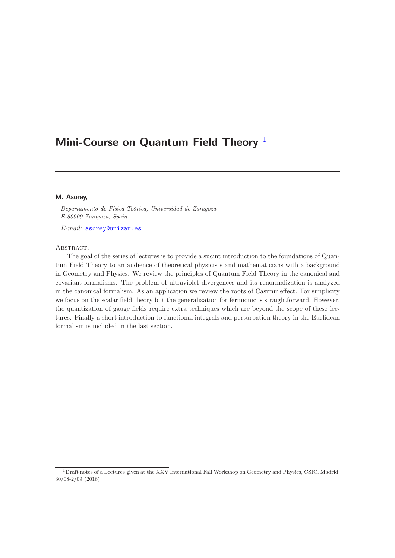# Mini-Course on Quantum Field Theory  $1$

#### M. Asorey,

*Departamento de F´ısica Te´orica, Universidad de Zaragoza E-50009 Zaragoza, Spain*

E-mail: [asorey@unizar.es](mailto:asorey@unizar.es)

#### ABSTRACT:

The goal of the series of lectures is to provide a sucint introduction to the foundations of Quantum Field Theory to an audience of theoretical physicists and mathematicians with a background in Geometry and Physics. We review the principles of Quantum Field Theory in the canonical and covariant formalisms. The problem of ultraviolet divergences and its renormalization is analyzed in the canonical formalism. As an application we review the roots of Casimir effect. For simplicity we focus on the scalar field theory but the generalization for fermionic is straightforward. However, the quantization of gauge fields require extra techniques which are beyond the scope of these lectures. Finally a short introduction to functional integrals and perturbation theory in the Euclidean formalism is included in the last section.

<span id="page-0-0"></span><sup>1</sup>Draft notes of a Lectures given at the XXV International Fall Workshop on Geometry and Physics, CSIC, Madrid, 30/08-2/09 (2016)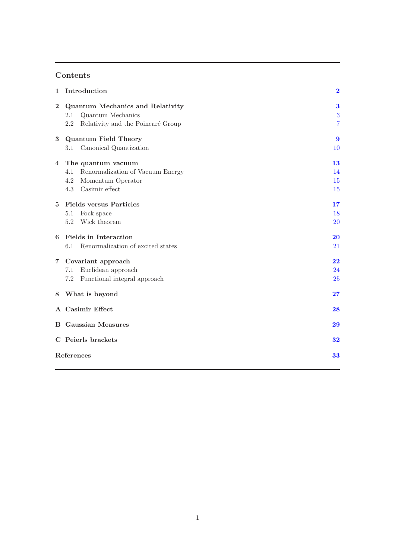# Contents

| 1              | Introduction                                                                                                       | $\mathbf 2$                   |  |
|----------------|--------------------------------------------------------------------------------------------------------------------|-------------------------------|--|
| $\mathbf{2}$   | <b>Quantum Mechanics and Relativity</b><br>Quantum Mechanics<br>2.1<br>2.2<br>Relativity and the Poincaré Group    | 3<br>3<br>$\overline{7}$      |  |
| 3              | <b>Quantum Field Theory</b><br>Canonical Quantization<br>3.1                                                       | $\boldsymbol{9}$<br><b>10</b> |  |
| $\overline{4}$ | The quantum vacuum<br>Renormalization of Vacuum Energy<br>4.1<br>4.2<br>Momentum Operator<br>Casimir effect<br>4.3 | 13<br>14<br>15<br>15          |  |
| 5              | <b>Fields versus Particles</b><br>Fock space<br>5.1<br>Wick theorem<br>5.2                                         | 17<br>18<br><b>20</b>         |  |
| 6              | <b>Fields</b> in Interaction<br>Renormalization of excited states<br>6.1                                           | 20<br>21                      |  |
| $\overline{7}$ | Covariant approach<br>Euclidean approach<br>7.1<br>Functional integral approach<br>7.2                             | 22<br>24<br>25                |  |
| 8              | What is beyond                                                                                                     | 27                            |  |
|                | A Casimir Effect                                                                                                   | 28                            |  |
|                | <b>B</b> Gaussian Measures                                                                                         | 29                            |  |
|                | C Peierls brackets                                                                                                 | 32                            |  |
|                | References<br>33                                                                                                   |                               |  |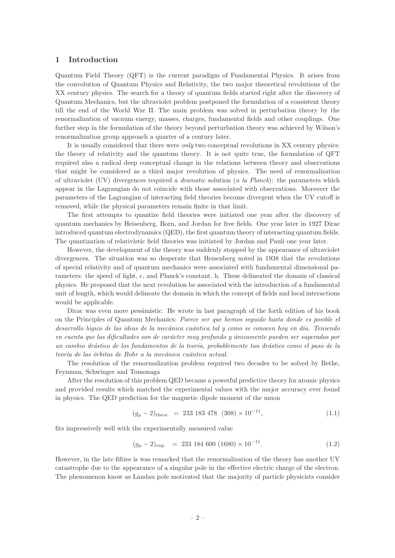## <span id="page-2-0"></span>1 Introduction

Quantum Field Theory (QFT) is the current paradigm of Fundamental Physics. It arises from the convolution of Quantum Physics and Relativity, the two major theoretical revolutions of the XX century physics. The search for a theory of quantum fields started right after the discovery of Quantum Mechanics, but the ultraviolet problem postponed the formulation of a consistent theory till the end of the World War II. The main problem was solved in perturbation theory by the renormalization of vacuum energy, masses, charges, fundamental fields and other couplings. One further step in the formulation of the theory beyond perturbation theory was achieved by Wilson's renormalization group approach a quarter of a century later.

It is usually considered that there were *only* two conceptual revolutions in XX century physics: the theory of relativity and the quantum theory. It is not quite true, the formulation of QFT required also a radical deep conceptual change in the relations between theory and observations that might be considered as a third major revolution of physics. The need of renormalization of ultraviolet (UV) divergences required a *dramatic* solution (a la Planck): the parameters which appear in the Lagrangian do not coincide with those associated with observations. Moreover the parameters of the Lagrangian of interacting field theories become divergent when the UV cutoff is removed, while the physical parameters remain finite in that limit.

The first attempts to quantize field theories were initiated one year after the discovery of quantum mechanics by Heisenberg, Born, and Jordan for free fields. One year later in 1927 Dirac introduced quantum electrodynamics (QED), the first quantum theory of interacting quantum fields. The quantization of relativistic field theories was initiated by Jordan and Pauli one year later.

However, the development of the theory was suddenly stopped by the appearance of ultraviolet divergences. The situation was so desperate that Heisenberg noted in 1938 that the revolutions of special relativity and of quantum mechanics were associated with fundamental dimensional parameters: the speed of light, c, and Planck's constant, h. These delineated the domain of classical physics. He proposed that the next revolution be associated with the introduction of a fundamental unit of length, which would delineate the domain in which the concept of fields and local interactions would be applicable.

Dirac was even more pessimistic. He wrote in last paragraph of the forth edition of his book on the Principles of Quantum Mechanics: Parece ser que hemos seguido hasta donde es posible el desarrollo lógico de las ideas de la mecánica cuántica tal y como se conocen hoy en día. Teniendo en cuenta que las dificultades son de carácter muy profundo y únicamente pueden ser superadas por un cambio drástico de los fundamentos de la teoría, probablemente tan drástico como el paso de la teoría de las órbitas de Bohr a la mecánica cuántica actual.

The resolution of the renormalization problem required two decades to be solved by Bethe, Feynman, Schwinger and Tomonaga

After the resolution of this problem QED became a powerful predictive theory for atomic physics and provided results which matched the experimental values with the major accuracy ever found in physics. The QED prediction for the magnetic dipole moment of the muon

$$
(g_{\mu} - 2)_{\text{theor.}} = 233\ 183\ 478\ (308) \times 10^{-11},\tag{1.1}
$$

fits impressively well with the experimentally measured value

$$
(g_{\mu} - 2)_{\text{exp.}} = 233\ 184\ 600\ (1680) \times 10^{-11}.
$$
 (1.2)

However, in the late fifties is was remarked that the renormalization of the theory has another UV catastrophe due to the appearance of a singular pole in the effective electric charge of the electron. The phenomenon know as Landau pole motivated that the majority of particle physicists consider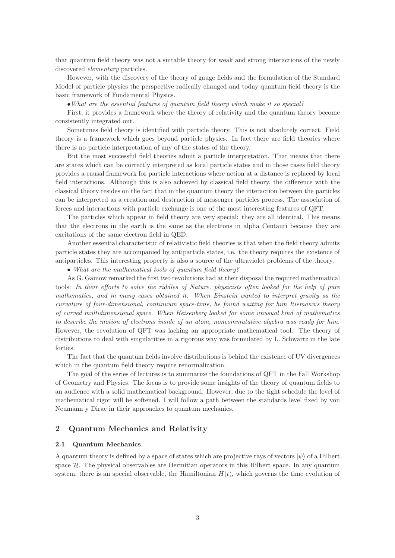that quantum field theory was not a suitable theory for weak and strong interactions of the newly discovered elementary particles.

However, with the discovery of the theory of gauge fields and the formulation of the Standard Model of particle physics the perspective radically changed and today quantum field theory is the basic framework of Fundamental Physics.

•What are the essential features of quantum field theory which make it so special?

First, it provides a framework where the theory of relativity and the quantum theory become consistently integrated out.

Sometimes field theory is identified with particle theory. This is not absolutely correct. Field theory is a framework which goes beyond particle physics. In fact there are field theories where there is no particle interpretation of any of the states of the theory.

But the most successful field theories admit a particle interpretation. That means that there are states which can be correctly interpreted as local particle states and in those cases field theory provides a causal framework for particle interactions where action at a distance is replaced by local field interactions. Although this is also achieved by classical field theory, the difference with the classical theory resides on the fact that in the quantum theory the interaction between the particles can be interpreted as a creation and destruction of messenger particles process. The association of forces and interactions with particle exchange is one of the most interesting features of QFT.

The particles which appear in field theory are very special: they are all identical. This means that the electrons in the earth is the same as the electrons in alpha Centauri because they are excitations of the same electron field in QED.

Another essential characteristic of relativistic field theories is that when the field theory admits particle states they are accompanied by antiparticle states, i.e. the theory requires the existence of antiparticles. This interesting property is also a source of the ultraviolet problems of the theory.

• What are the mathematical tools of quantum field theory?

As G. Gamow remarked the first two revolutions had at their disposal the required mathematical tools: In their efforts to solve the riddles of Nature, physicists often looked for the help of pure mathematics, and in many cases obtained it. When Einstein wanted to interpret gravity as the curvature of four-dimensional, continuum space-time, he found waiting for him Riemann's theory of curved multidimensional space. When Heisenberg looked for some unusual kind of mathematics to describe the motion of electrons inside of an atom, noncommutative algebra was ready for him. However, the revolution of QFT was lacking an appropriate mathematical tool. The theory of distributions to deal with singularities in a rigorous way was formulated by L. Schwartz in the late forties.

The fact that the quantum fields involve distributions is behind the existence of UV divergences which in the quantum field theory require renormalization.

The goal of the series of lectures is to summarize the foundations of QFT in the Fall Workshop of Geometry and Physics. The focus is to provide some insights of the theory of quantum fields to an audience with a solid mathematical background. However, due to the tight schedule the level of mathematical rigor will be softened. I will follow a path between the standards level fixed by von Neumann y Dirac in their approaches to quantum mechanics.

## <span id="page-3-1"></span><span id="page-3-0"></span>2 Quantum Mechanics and Relativity

#### 2.1 Quantum Mechanics

A quantum theory is defined by a space of states which are projective rays of vectors  $|\psi\rangle$  of a Hilbert space  $H$ . The physical observables are Hermitian operators in this Hilbert space. In any quantum system, there is an special observable, the Hamiltonian  $H(t)$ , which governs the time evolution of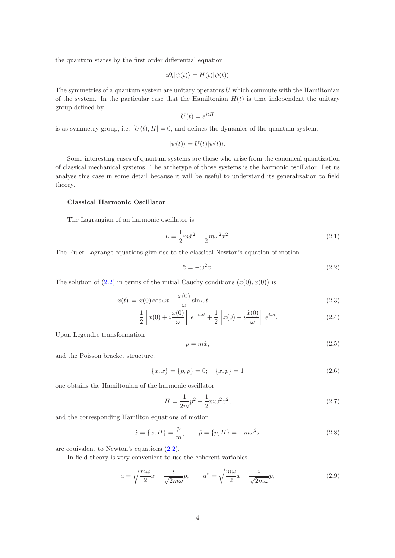the quantum states by the first order differential equation

$$
i\partial_t|\psi(t)\rangle = H(t)|\psi(t)\rangle
$$

The symmetries of a quantum system are unitary operators  $U$  which commute with the Hamiltonian of the system. In the particular case that the Hamiltonian  $H(t)$  is time independent the unitary group defined by

$$
U(t) = e^{itH}
$$

is as symmetry group, i.e.  $[U(t), H] = 0$ , and defines the dynamics of the quantum system,

$$
|\psi(t)\rangle = U(t)|\psi(t)\rangle.
$$

Some interesting cases of quantum systems are those who arise from the canonical quantization of classical mechanical systems. The archetype of those systems is the harmonic oscillator. Let us analyse this case in some detail because it will be useful to understand its generalization to field theory.

## Classical Harmonic Oscillator

The Lagrangian of an harmonic oscillator is

$$
L = \frac{1}{2}m\dot{x}^2 - \frac{1}{2}m\omega^2 x^2.
$$
\n(2.1)

The Euler-Lagrange equations give rise to the classical Newton's equation of motion

<span id="page-4-0"></span>
$$
\ddot{x} = -\omega^2 x. \tag{2.2}
$$

The solution of  $(2.2)$  in terms of the initial Cauchy conditions  $(x(0), \dot{x}(0))$  is

<span id="page-4-1"></span>
$$
x(t) = x(0)\cos\omega t + \frac{\dot{x}(0)}{\omega}\sin\omega t
$$
\n(2.3)

$$
= \frac{1}{2} \left[ x(0) + i \frac{\dot{x}(0)}{\omega} \right] e^{-i\omega t} + \frac{1}{2} \left[ x(0) - i \frac{\dot{x}(0)}{\omega} \right] e^{i\omega t}.
$$
 (2.4)

Upon Legendre transformation

$$
p = m\dot{x},\tag{2.5}
$$

and the Poisson bracket structure,

<span id="page-4-2"></span>
$$
\{x, x\} = \{p, p\} = 0; \quad \{x, p\} = 1 \tag{2.6}
$$

one obtains the Hamiltonian of the harmonic oscillator

$$
H = \frac{1}{2m}p^2 + \frac{1}{2}m\omega^2 x^2,
$$
\n(2.7)

and the corresponding Hamilton equations of motion

$$
\dot{x} = \{x, H\} = \frac{p}{m}, \qquad \dot{p} = \{p, H\} = -m\omega^2 x \tag{2.8}
$$

are equivalent to Newton's equations [\(2.2\)](#page-4-0).

In field theory is very convenient to use the coherent variables

$$
a = \sqrt{\frac{m\omega}{2}}x + \frac{i}{\sqrt{2m\omega}}p; \qquad a^* = \sqrt{\frac{m\omega}{2}}x - \frac{i}{\sqrt{2m\omega}}p,\tag{2.9}
$$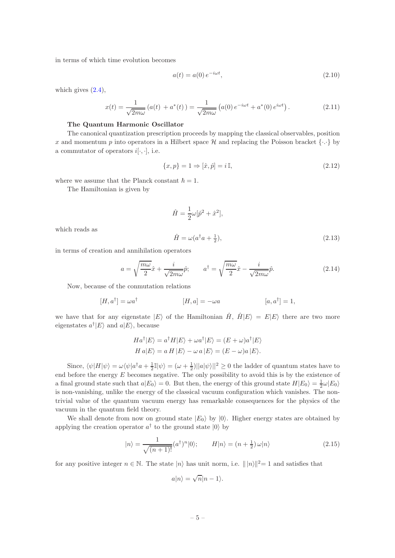in terms of which time evolution becomes

$$
a(t) = a(0) e^{-i\omega t},
$$
\n(2.10)

which gives  $(2.4)$ ,

$$
x(t) = \frac{1}{\sqrt{2m\omega}} \left( a(t) + a^*(t) \right) = \frac{1}{\sqrt{2m\omega}} \left( a(0) e^{-i\omega t} + a^*(0) e^{i\omega t} \right). \tag{2.11}
$$

#### The Quantum Harmonic Oscillator

The canonical quantization prescription proceeds by mapping the classical observables, position x and momentum p into operators in a Hilbert space H and replacing the Poisson bracket  $\{\cdot,\cdot\}$  by a commutator of operators  $i[\cdot, \cdot]$ , i.e.

$$
\{x, p\} = 1 \Rightarrow [\hat{x}, \hat{p}] = i \mathbb{I},\tag{2.12}
$$

where we assume that the Planck constant  $\hbar = 1$ .

The Hamiltonian is given by

$$
\hat{H} = \frac{1}{2}\omega[\hat{p}^2 + \hat{x}^2],
$$
  

$$
\hat{H} = \omega(a^\dagger a + \frac{1}{2}),
$$
\n(2.13)

which reads as

in terms of creation and annihilation operators

$$
a = \sqrt{\frac{m\omega}{2}}\hat{x} + \frac{i}{\sqrt{2m\omega}}\hat{p}; \qquad a^{\dagger} = \sqrt{\frac{m\omega}{2}}\hat{x} - \frac{i}{\sqrt{2m\omega}}\hat{p}.
$$
 (2.14)

Now, because of the conmutation relations

$$
[H, a\dagger] = \omega a\dagger \qquad [H, a] = -\omega a \qquad [a, a\dagger] = 1,
$$

we have that for any eigenstate  $|E\rangle$  of the Hamiltonian  $\hat{H}$ ,  $\hat{H}|E\rangle = E|E\rangle$  there are two more eigenstates  $a^{\dagger}$  |*E* $\rangle$  and  $a$ |*E* $\rangle$ , because

$$
Ha^{\dagger}|E\rangle = a^{\dagger}H|E\rangle + \omega a^{\dagger}|E\rangle = (E + \omega)a^{\dagger}|E\rangle
$$
  

$$
H a|E\rangle = a H|E\rangle - \omega a|E\rangle = (E - \omega)a|E\rangle.
$$

Since,  $\langle \psi | H | \psi \rangle = \omega \langle \psi | a^{\dagger} a + \frac{1}{2} \mathbb{I} | \psi \rangle = (\omega + \frac{1}{2}) ||a \psi \rangle ||^2 \ge 0$  the ladder of quantum states have to end before the energy  $E$  becomes negative. The only possibility to avoid this is by the existence of a final ground state such that  $a|E_0\rangle = 0$ . But then, the energy of this ground state  $H|E_0\rangle = \frac{1}{2}\omega|E_0\rangle$ is non-vanishing, unlike the energy of the classical vacuum configuration which vanishes. The nontrivial value of the quantum vacuum energy has remarkable consequences for the physics of the vacuum in the quantum field theory.

We shall denote from now on ground state  $|E_0\rangle$  by  $|0\rangle$ . Higher energy states are obtained by applying the creation operator  $a^{\dagger}$  to the ground state  $|0\rangle$  by

<span id="page-5-0"></span>
$$
|n\rangle = \frac{1}{\sqrt{(n+1)!}} (a^{\dagger})^n |0\rangle; \qquad H|n\rangle = (n+\frac{1}{2})\,\omega |n\rangle \tag{2.15}
$$

for any positive integer  $n \in \mathbb{N}$ . The state  $|n\rangle$  has unit norm, i.e.  $\| |n\rangle\|^2 = 1$  and satisfies that

$$
a|n\rangle = \sqrt{n}|n-1\rangle.
$$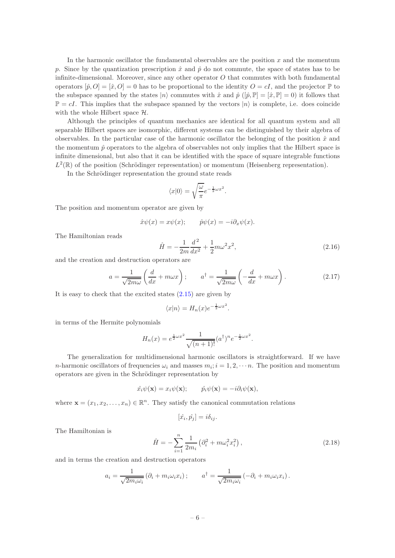In the harmonic oscillator the fundamental observables are the position  $x$  and the momentum p. Since by the quantization prescription  $\hat{x}$  and  $\hat{p}$  do not commute, the space of states has to be infinite-dimensional. Moreover, since any other operator  $O$  that commutes with both fundamental operators  $[\hat{p}, O] = [\hat{x}, O] = 0$  has to be proportional to the identity  $O = cI$ , and the projector  $\mathbb{P}$  to the subspace spanned by the states  $|n\rangle$  commutes with  $\hat{x}$  and  $\hat{p}$  ( $[\hat{p}, \mathbb{P}] = [\hat{x}, \mathbb{P}] = 0$ ) it follows that  $\mathbb{P} = cI$ . This implies that the subspace spanned by the vectors  $|n\rangle$  is complete, i.e. does coincide with the whole Hilbert space  $H$ .

Although the principles of quantum mechanics are identical for all quantum system and all separable Hilbert spaces are isomorphic, different systems can be distinguished by their algebra of observables. In the particular case of the harmonic oscillator the belonging of the position  $\hat{x}$  and the momentum  $\hat{p}$  operators to the algebra of observables not only implies that the Hilbert space is infinite dimensional, but also that it can be identified with the space of square integrable functions  $L^2(\mathbb{R})$  of the position (Schrödinger representation) or momentum (Heisenberg representation).

In the Schrödinger representation the ground state reads

$$
\langle x|0\rangle = \sqrt{\frac{\omega}{\pi}}e^{-\frac{1}{2}\omega x^2}
$$

The position and momentum operator are given by

$$
\hat{x}\psi(x) = x\psi(x); \qquad \hat{p}\psi(x) = -i\partial_x\psi(x).
$$

The Hamiltonian reads

$$
\hat{H} = -\frac{1}{2m}\frac{d^2}{dx^2} + \frac{1}{2}m\omega^2 x^2,
$$
\n(2.16)

and the creation and destruction operators are

$$
a = \frac{1}{\sqrt{2m\omega}} \left( \frac{d}{dx} + m\omega x \right); \qquad a^{\dagger} = \frac{1}{\sqrt{2m\omega}} \left( -\frac{d}{dx} + m\omega x \right). \tag{2.17}
$$

.

It is easy to check that the excited states [\(2.15\)](#page-5-0) are given by

$$
\langle x|n\rangle = H_n(x)e^{-\frac{1}{2}\omega x^2}.
$$

in terms of the Hermite polynomials

$$
H_n(x) = e^{\frac{1}{2}\omega x^2} \frac{1}{\sqrt{(n+1)!}} (a^{\dagger})^n e^{-\frac{1}{2}\omega x^2}.
$$

The generalization for multidimensional harmonic oscillators is straightforward. If we have *n*-harmonic oscillators of frequencies  $\omega_i$  and masses  $m_i$ ;  $i = 1, 2, \dots n$ . The position and momentum operators are given in the Schrödinger representation by

$$
\hat{x_i}\psi(\mathbf{x}) = x_i\psi(\mathbf{x}); \qquad \hat{p_i}\psi(\mathbf{x}) = -i\partial_i\psi(\mathbf{x}),
$$

where  $\mathbf{x} = (x_1, x_2, \dots, x_n) \in \mathbb{R}^n$ . They satisfy the canonical commutation relations

$$
[\hat{x_i}, \hat{p_j}] = i\delta_{ij}.
$$

The Hamiltonian is

$$
\hat{H} = -\sum_{i=1}^{n} \frac{1}{2m_i} \left( \partial_i^2 + m\omega_i^2 x_i^2 \right),
$$
\n(2.18)

and in terms the creation and destruction operators

$$
a_i = \frac{1}{\sqrt{2m_i\omega_i}} \left( \partial_i + m_i \omega_i x_i \right); \qquad a^\dagger = \frac{1}{\sqrt{2m_i\omega_i}} \left( -\partial_i + m_i \omega_i x_i \right).
$$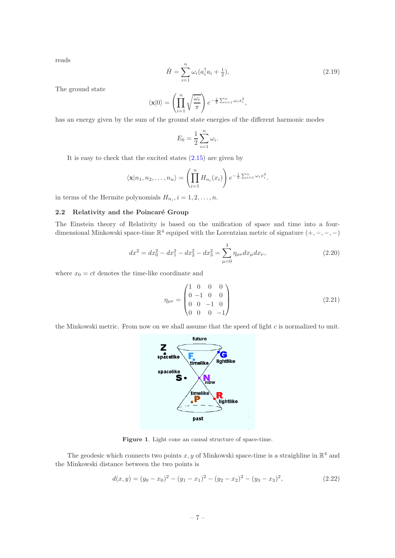reads

$$
\hat{H} = \sum_{i=1}^{n} \omega_i (a_i^{\dagger} a_i + \frac{1}{2}),
$$
\n(2.19)

The ground state

$$
\langle \mathbf{x} | 0 \rangle = \left( \prod_{i=1}^n \sqrt{\frac{\omega_i}{\pi}} \right) e^{-\frac{1}{2} \sum_{i=1}^n \omega_i x_i^2},
$$

has an energy given by the sum of the ground state energies of the different harmonic modes

$$
E_0 = \frac{1}{2} \sum_{i=1}^n \omega_i.
$$

It is easy to check that the excited states [\(2.15\)](#page-5-0) are given by

$$
\langle \mathbf{x}|n_1, n_2, \dots, n_n \rangle = \left( \prod_{i=1}^n H_{n_i}(x_i) \right) e^{-\frac{1}{2} \sum_{i=1}^n \omega_i x_i^2}.
$$

<span id="page-7-0"></span>in terms of the Hermite polynomials  $H_{n_i}$ ,  $i = 1, 2, ..., n$ .

## 2.2 Relativity and the Poincaré Group

The Einstein theory of Relativity is based on the unification of space and time into a fourdimensional Minkowski space-time  $\mathbb{R}^4$  equiped with the Lorentzian metric of signature  $(+, -, -, -)$ 

$$
dx^{2} = dx_{0}^{2} - dx_{1}^{2} - dx_{2}^{2} - dx_{3}^{2} = \sum_{\mu=0}^{3} \eta_{\mu\nu} dx_{\mu} dx_{\nu},
$$
\n(2.20)

where  $x_0 = ct$  denotes the time-like coordinate and

$$
\eta_{\mu\nu} = \begin{pmatrix} 1 & 0 & 0 & 0 \\ 0 & -1 & 0 & 0 \\ 0 & 0 & -1 & 0 \\ 0 & 0 & 0 & -1 \end{pmatrix}
$$
 (2.21)

the Minkowski metric. From now on we shall assume that the speed of light  $c$  is normalized to unit.



Figure 1. Light cone an causal structure of space-time.

The geodesic which connects two points  $x, y$  of Minkowski space-time is a straighline in  $\mathbb{R}^4$  and the Minkowski distance between the two points is

$$
d(x,y) = (y_0 - x_0)^2 - (y_1 - x_1)^2 - (y_2 - x_2)^2 - (y_3 - x_3)^2,
$$
\n(2.22)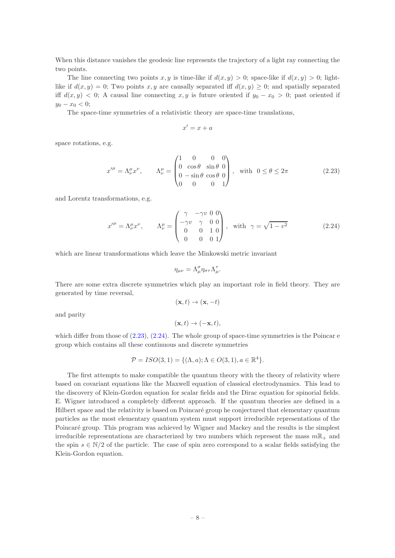When this distance vanishes the geodesic line represents the trajectory of a light ray connecting the two points.

The line connecting two points x, y is time-like if  $d(x, y) > 0$ ; space-like if  $d(x, y) > 0$ ; lightlike if  $d(x, y) = 0$ ; Two points x, y are causally separated iff  $d(x, y) \geq 0$ ; and spatially separated iff  $d(x, y) < 0$ ; A causal line connecting x, y is future oriented if  $y_0 - x_0 > 0$ ; past oriented if  $y_0 - x_0 < 0$ ;

The space-time symmetries of a relativistic theory are space-time translations,

$$
x' = x + a
$$

space rotations, e.g.

<span id="page-8-0"></span>
$$
x^{\prime \mu} = \Lambda^{\mu}_{\nu} x^{\nu}, \qquad \Lambda^{\mu}_{\nu} = \begin{pmatrix} 1 & 0 & 0 & 0 \\ 0 & \cos \theta & \sin \theta & 0 \\ 0 & -\sin \theta & \cos \theta & 0 \\ 0 & 0 & 0 & 1 \end{pmatrix}, \text{ with } 0 \le \theta \le 2\pi
$$
 (2.23)

and Lorentz transformations, e.g.

<span id="page-8-1"></span>
$$
x^{\prime \mu} = \Lambda^{\mu}_{\nu} x^{\nu}, \qquad \Lambda^{\mu}_{\nu} = \begin{pmatrix} \gamma & -\gamma v & 0 & 0 \\ -\gamma v & \gamma & 0 & 0 \\ 0 & 0 & 1 & 0 \\ 0 & 0 & 0 & 1 \end{pmatrix}, \text{ with } \gamma = \sqrt{1 - v^2}
$$
(2.24)

which are linear transformations which leave the Minkowski metric invariant

$$
\eta_{\mu\nu} = \Lambda^{\sigma}_{\mu} \eta_{\sigma\tau} \Lambda^{\tau}_{\mu}.
$$

There are some extra discrete symmetries which play an important role in field theory. They are generated by time reversal,

$$
(\mathbf{x},t)\to(\mathbf{x},-t)
$$

and parity

$$
(\mathbf{x},t)\to(-\mathbf{x},t),
$$

which differ from those of  $(2.23)$ ,  $(2.24)$ . The whole group of space-time symmetries is the Poincar e group which contains all these continuous and discrete symmetries

$$
\mathcal{P} = ISO(3, 1) = \{ (\Lambda, a); \Lambda \in O(3, 1), a \in \mathbb{R}^4 \}.
$$

The first attempts to make compatible the quantum theory with the theory of relativity where based on covariant equations like the Maxwell equation of classical electrodynamics. This lead to the discovery of Klein-Gordon equation for scalar fields and the Dirac equation for spinorial fields. E. Wigner introduced a completely different approach. If the quantum theories are defined in a Hilbert space and the relativity is based on Poincaré group he conjectured that elementary quantum particles as the most elementary quantum system must support irreducible representations of the Poincaré group. This program was achieved by Wigner and Mackey and the results is the simplest irreducible representations are characterized by two numbers which represent the mass  $m\mathbb{R}_+$  and the spin  $s \in \mathbb{N}/2$  of the particle. The case of spin zero correspond to a scalar fields satisfying the Klein-Gordon equation.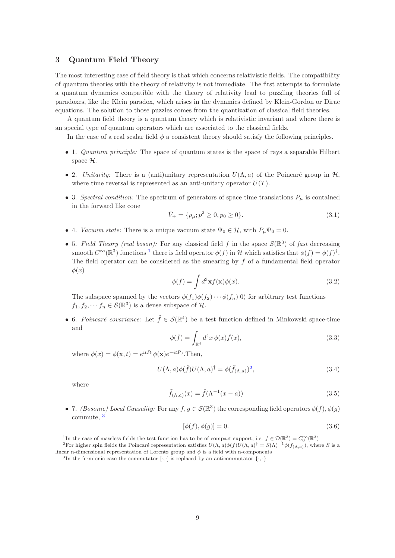## <span id="page-9-0"></span>3 Quantum Field Theory

The most interesting case of field theory is that which concerns relativistic fields. The compatibility of quantum theories with the theory of relativity is not immediate. The first attempts to formulate a quantum dynamics compatible with the theory of relativity lead to puzzling theories full of paradoxes, like the Klein paradox, which arises in the dynamics defined by Klein-Gordon or Dirac equations. The solution to those puzzles comes from the quantization of classical field theories.

A quantum field theory is a quantum theory which is relativistic invariant and where there is an special type of quantum operators which are associated to the classical fields.

In the case of a real scalar field  $\phi$  a consistent theory should satisfy the following principles.

- 1. Quantum principle: The space of quantum states is the space of rays a separable Hilbert space  $\mathcal{H}$ .
- 2. Unitarity: There is a (anti)unitary representation  $U(\Lambda, a)$  of the Poincaré group in  $\mathcal{H}$ , where time reversal is represented as an anti-unitary operator  $U(T)$ .
- 3. Spectral condition: The spectrum of generators of space time translations  $P_{\mu}$  is contained in the forward like cone

$$
\bar{V}_{+} = \{p_{\mu}; p^{2} \ge 0, p_{0} \ge 0\}.
$$
\n(3.1)

- 4. Vacuum state: There is a unique vacuum state  $\Psi_0 \in \mathcal{H}$ , with  $P_\mu \Psi_0 = 0$ .
- 5. Field Theory (real boson): For any classical field f in the space  $\mathcal{S}(\mathbb{R}^3)$  of fast decreasing smooth  $C^{\infty}(\mathbb{R}^3)$  functions <sup>[1](#page-9-1)</sup> there is field operator  $\phi(f)$  in H which satisfies that  $\phi(f) = \phi(f)^{\dagger}$ . The field operator can be considered as the smearing by  $f$  of a fundamental field operator  $\phi(x)$

$$
\phi(f) = \int d^3 \mathbf{x} f(\mathbf{x}) \phi(x). \tag{3.2}
$$

The subspace spanned by the vectors  $\phi(f_1)\phi(f_2)\cdots\phi(f_n)|0\rangle$  for arbitrary test functions  $f_1, f_2, \dots f_n \in \mathcal{S}(\mathbb{R}^3)$  is a dense subspace of  $\mathcal{H}$ .

• 6. Poincaré covariance: Let  $\tilde{f} \in \mathcal{S}(\mathbb{R}^4)$  be a test function defined in Minkowski space-time and

$$
\phi(\tilde{f}) = \int_{\mathbb{R}^4} d^4x \, \phi(x) \tilde{f}(x),\tag{3.3}
$$

where  $\phi(x) = \phi(\mathbf{x}, t) = e^{itP_0} \phi(\mathbf{x}) e^{-itP_0}$ . Then,

$$
U(\Lambda, a)\phi(\tilde{f})U(\Lambda, a)^{\dagger} = \phi(\tilde{f}_{(\Lambda, a)})^2,
$$
\n(3.4)

where

$$
\tilde{f}_{(\Lambda,a)}(x) = \tilde{f}(\Lambda^{-1}(x-a))\tag{3.5}
$$

• 7. (Bosonic) Local Causality: For any  $f, g \in \mathcal{S}(\mathbb{R}^3)$  the corresponding field operators  $\phi(f), \phi(g)$ commute, [3](#page-9-3)

$$
[\phi(f), \phi(g)] = 0. \tag{3.6}
$$

<span id="page-9-1"></span><sup>&</sup>lt;sup>1</sup>In the case of massless fields the test function has to be of compact support, i.e.  $f \in \mathcal{D}(\mathbb{R}^3) = C_0^{\infty}(\mathbb{R}^3)$ 

<sup>&</sup>lt;sup>2</sup>For higher spin fields the Poincaré representation satisfies  $U(\Lambda, a)\phi(f)U(\Lambda, a)^{\dagger} = S(\Lambda)^{-1}\phi(f_{(\Lambda, a)})$ , where S is a linear n-dimensional representation of Lorentz group and  $\phi$  is a field with n-components

<span id="page-9-3"></span><span id="page-9-2"></span><sup>&</sup>lt;sup>3</sup>In the fermionic case the commutator  $[\cdot, \cdot]$  is replaced by an anticommutator  $\{\cdot, \cdot\}$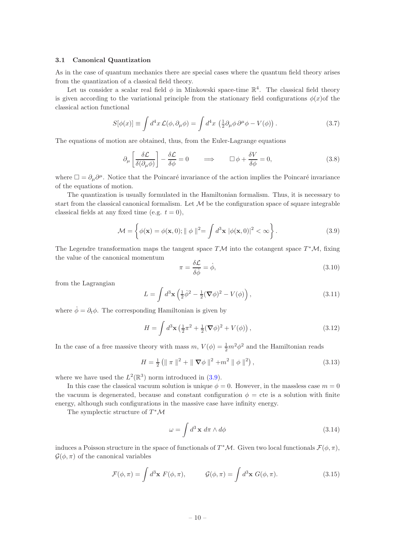## <span id="page-10-0"></span>3.1 Canonical Quantization

As in the case of quantum mechanics there are special cases where the quantum field theory arises from the quantization of a classical field theory.

Let us consider a scalar real field  $\phi$  in Minkowski space-time  $\mathbb{R}^4$ . The classical field theory is given according to the variational principle from the stationary field configurations  $\phi(x)$  of the classical action functional

$$
S[\phi(x)] \equiv \int d^4x \mathcal{L}(\phi, \partial_\mu \phi) = \int d^4x \left(\frac{1}{2}\partial_\mu \phi \partial^\mu \phi - V(\phi)\right). \tag{3.7}
$$

The equations of motion are obtained, thus, from the Euler-Lagrange equations

$$
\partial_{\mu} \left[ \frac{\delta \mathcal{L}}{\delta(\partial_{\mu} \phi)} \right] - \frac{\delta \mathcal{L}}{\delta \phi} = 0 \qquad \Longrightarrow \qquad \Box \phi + \frac{\delta V}{\delta \phi} = 0, \tag{3.8}
$$

where  $\Box = \partial_\mu \partial^\mu$ . Notice that the Poincaré invariance of the action implies the Poincaré invariance of the equations of motion.

The quantization is usually formulated in the Hamiltonian formalism. Thus, it is necessary to start from the classical canonical formalism. Let  $M$  be the configuration space of square integrable classical fields at any fixed time (e.g.  $t = 0$ ),

<span id="page-10-1"></span>
$$
\mathcal{M} = \left\{ \phi(\mathbf{x}) = \phi(\mathbf{x}, 0); \parallel \phi \parallel^{2} = \int d^{3} \mathbf{x} \ |\phi(\mathbf{x}, 0)|^{2} < \infty \right\}.
$$
\n(3.9)

The Legendre transformation maps the tangent space  $T\mathcal{M}$  into the cotangent space  $T^*\mathcal{M}$ , fixing the value of the canonical momentum

$$
\pi = \frac{\delta \mathcal{L}}{\delta \dot{\phi}} = \dot{\phi},\tag{3.10}
$$

from the Lagrangian

$$
L = \int d^3 \mathbf{x} \left( \frac{1}{2} \dot{\phi}^2 - \frac{1}{2} (\nabla \phi)^2 - V(\phi) \right), \tag{3.11}
$$

where  $\dot{\phi} = \partial_t \phi$ . The corresponding Hamiltonian is given by

$$
H = \int d^3 \mathbf{x} \left(\frac{1}{2}\pi^2 + \frac{1}{2}(\nabla\phi)^2 + V(\phi)\right),\tag{3.12}
$$

In the case of a free massive theory with mass  $m, V(\phi) = \frac{1}{2}m^2\phi^2$  and the Hamiltonian reads

<span id="page-10-2"></span>
$$
H = \frac{1}{2} \left( \| \pi \|^{2} + \| \nabla \phi \|^{2} + m^{2} \| \phi \|^{2} \right), \tag{3.13}
$$

where we have used the  $L^2(\mathbb{R}^3)$  norm introduced in [\(3.9\)](#page-10-1).

In this case the classical vacuum solution is unique  $\phi = 0$ . However, in the massless case  $m = 0$ the vacuum is degenerated, because and constant configuration  $\phi =$  cte is a solution with finite energy, although such configurations in the massive case have infinity energy.

The symplectic structure of  $T^{\ast} \mathcal{M}$ 

$$
\omega = \int d^3 \mathbf{x} \, d\pi \wedge d\phi \tag{3.14}
$$

induces a Poisson structure in the space of functionals of  $T^*\mathcal{M}$ . Given two local functionals  $\mathcal{F}(\phi,\pi)$ ,  $\mathcal{G}(\phi,\pi)$  of the canonical variables

$$
\mathcal{F}(\phi,\pi) = \int d^3 \mathbf{x} \ F(\phi,\pi), \qquad \mathcal{G}(\phi,\pi) = \int d^3 \mathbf{x} \ G(\phi,\pi). \qquad (3.15)
$$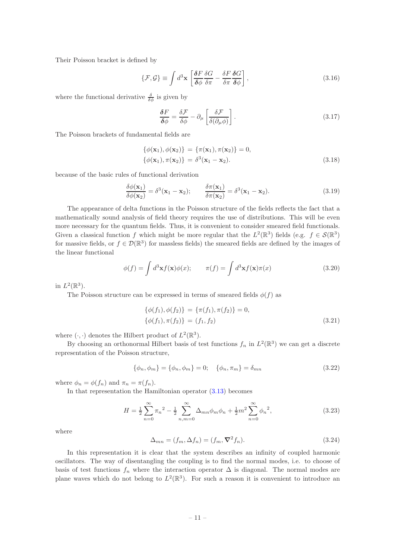Their Poisson bracket is defined by

<span id="page-11-0"></span>
$$
\{\mathcal{F}, \mathcal{G}\} \equiv \int d^3 \mathbf{x} \left[ \frac{\delta F}{\delta \phi} \frac{\delta G}{\delta \pi} - \frac{\delta F}{\delta \pi} \frac{\delta G}{\delta \phi} \right],\tag{3.16}
$$

where the functional derivative  $\frac{\delta}{\delta \phi}$  is given by

$$
\frac{\delta F}{\delta \phi} = \frac{\delta \mathcal{F}}{\delta \phi} - \partial_{\mu} \left[ \frac{\delta \mathcal{F}}{\delta (\partial_{\mu} \phi)} \right]. \tag{3.17}
$$

The Poisson brackets of fundamental fields are

$$
\{\phi(\mathbf{x}_1), \phi(\mathbf{x}_2)\} = \{\pi(\mathbf{x}_1), \pi(\mathbf{x}_2)\} = 0,
$$
  

$$
\{\phi(\mathbf{x}_1), \pi(\mathbf{x}_2)\} = \delta^3(\mathbf{x}_1 - \mathbf{x}_2).
$$
 (3.18)

because of the basic rules of functional derivation

$$
\frac{\delta\phi(\mathbf{x}_1)}{\delta\phi(\mathbf{x}_2)} = \delta^3(\mathbf{x}_1 - \mathbf{x}_2); \qquad \frac{\delta\pi(\mathbf{x}_1)}{\delta\pi(\mathbf{x}_2)} = \delta^3(\mathbf{x}_1 - \mathbf{x}_2). \tag{3.19}
$$

The appearance of delta functions in the Poisson structure of the fields reflects the fact that a mathematically sound analysis of field theory requires the use of distributions. This will be even more necessary for the quantum fields. Thus, it is convenient to consider smeared field functionals. Given a classical function f which might be more regular that the  $L^2(\mathbb{R}^3)$  fields (e.g.  $f \in \mathcal{S}(\mathbb{R}^3)$ ) for massive fields, or  $f \in \mathcal{D}(\mathbb{R}^3)$  for massless fields) the smeared fields are defined by the images of the linear functional

$$
\phi(f) = \int d^3 \mathbf{x} f(\mathbf{x}) \phi(x); \qquad \pi(f) = \int d^3 \mathbf{x} f(\mathbf{x}) \pi(x) \tag{3.20}
$$

in  $L^2(\mathbb{R}^3)$ .

The Poisson structure can be expressed in terms of smeared fields  $\phi(f)$  as

$$
\{\phi(f_1), \phi(f_2)\} = \{\pi(f_1), \pi(f_2)\} = 0,\{\phi(f_1), \pi(f_2)\} = (f_1, f_2)
$$
\n(3.21)

where  $(\cdot, \cdot)$  denotes the Hilbert product of  $L^2(\mathbb{R}^3)$ .

By choosing an orthonormal Hilbert basis of test functions  $f_n$  in  $L^2(\mathbb{R}^3)$  we can get a discrete representation of the Poisson structure,

$$
\{\phi_n, \phi_m\} = \{\phi_n, \phi_m\} = 0; \quad \{\phi_n, \pi_m\} = \delta_{mn}
$$
\n(3.22)

where  $\phi_n = \phi(f_n)$  and  $\pi_n = \pi(f_n)$ .

In that representation the Hamiltonian operator [\(3.13\)](#page-10-2) becomes

$$
H = \frac{1}{2} \sum_{n=0}^{\infty} \pi_n^2 - \frac{1}{2} \sum_{n,m=0}^{\infty} \Delta_{mn} \phi_m \phi_n + \frac{1}{2} m^2 \sum_{n=0}^{\infty} \phi_n^2,
$$
 (3.23)

where

$$
\Delta_{mn} = (f_m, \Delta f_n) = (f_m, \nabla^2 f_n). \tag{3.24}
$$

In this representation it is clear that the system describes an infinity of coupled harmonic oscillators. The way of disentangling the coupling is to find the normal modes, i.e. to choose of basis of test functions  $f_n$  where the interaction operator  $\Delta$  is diagonal. The normal modes are plane waves which do not belong to  $L^2(\mathbb{R}^3)$ . For such a reason it is convenient to introduce an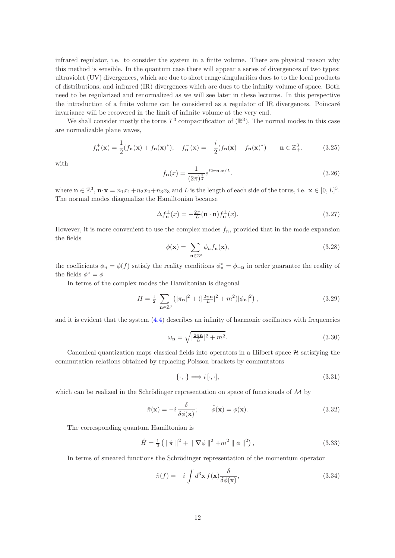infrared regulator, i.e. to consider the system in a finite volume. There are physical reason why this method is sensible. In the quantum case there will appear a series of divergences of two types: ultraviolet (UV) divergences, which are due to short range singularities dues to to the local products of distributions, and infrared (IR) divergences which are dues to the infinity volume of space. Both need to be regularized and renormalized as we will see later in these lectures. In this perspective the introduction of a finite volume can be considered as a regulator of IR divergences. Poincar´e invariance will be recovered in the limit of infinite volume at the very end.

We shall consider mostly the torus  $T^3$  compactification of  $(\mathbb{R}^3)$ , The normal modes in this case are normalizable plane waves,

$$
f_{\mathbf{n}}^{+}(\mathbf{x}) = \frac{1}{2}(f_{\mathbf{n}}(\mathbf{x}) + f_{\mathbf{n}}(\mathbf{x})^{*}); \quad f_{\mathbf{n}}^{-}(\mathbf{x}) = -\frac{i}{2}(f_{\mathbf{n}}(\mathbf{x}) - f_{\mathbf{n}}(\mathbf{x})^{*}) \qquad \mathbf{n} \in \mathbb{Z}_{+}^{3}.
$$
 (3.25)

with

<span id="page-12-1"></span>
$$
f_{\mathbf{n}}(x) = \frac{1}{(2\pi)^{\frac{3}{2}}} e^{i2\pi \mathbf{n} \cdot x/L}.
$$
\n(3.26)

where  $\mathbf{n} \in \mathbb{Z}^3$ ,  $\mathbf{n} \cdot \mathbf{x} = n_1 x_1 + n_2 x_2 + n_3 x_3$  and L is the length of each side of the torus, i.e.  $\mathbf{x} \in [0, L]^3$ . The normal modes diagonalize the Hamiltonian because

$$
\Delta f_{\mathbf{n}}^{\pm}(x) = -\frac{2\pi}{L}(\mathbf{n} \cdot \mathbf{n}) f_{\mathbf{n}}^{\pm}(x). \tag{3.27}
$$

However, it is more convenient to use the complex modes  $f_n$ , provided that in the mode expansion the fields

$$
\phi(\mathbf{x}) = \sum_{\mathbf{n} \in \mathbb{Z}^3} \phi_n f_\mathbf{n}(\mathbf{x}),\tag{3.28}
$$

the coefficients  $\phi_n = \phi(f)$  satisfy the reality conditions  $\phi_n^* = \phi_{-n}$  in order guarantee the reality of the fields  $\phi^* = \phi$ 

In terms of the complex modes the Hamiltonian is diagonal

$$
H = \frac{1}{2} \sum_{\mathbf{n} \in \mathbb{Z}^3} \left( |\pi_{\mathbf{n}}|^2 + (|\frac{2\pi \mathbf{n}}{L}|^2 + m^2) |\phi_{\mathbf{n}}|^2 \right),\tag{3.29}
$$

and it is evident that the system [\(4.4\)](#page-14-1) describes an infinity of harmonic oscillators with frequencies

$$
\omega_{\mathbf{n}} = \sqrt{|\frac{2\pi \mathbf{n}}{L}|^2 + m^2}.\tag{3.30}
$$

Canonical quantization maps classical fields into operators in a Hilbert space  $\mathcal{H}$  satisfying the commutation relations obtained by replacing Poisson brackets by commutators

$$
\{\cdot, \cdot\} \Longrightarrow i\left[\cdot, \cdot\right],\tag{3.31}
$$

which can be realized in the Schrödinger representation on space of functionals of  $\mathcal M$  by

<span id="page-12-2"></span>
$$
\hat{\pi}(\mathbf{x}) = -i \frac{\delta}{\delta \phi(\mathbf{x})}; \qquad \hat{\phi}(\mathbf{x}) = \phi(\mathbf{x}). \tag{3.32}
$$

The corresponding quantum Hamiltonian is

<span id="page-12-0"></span>
$$
\hat{H} = \frac{1}{2} \left( \| \hat{\pi} \|^{2} + \| \nabla \phi \|^{2} + m^{2} \| \phi \|^{2} \right),
$$
\n(3.33)

In terms of smeared functions the Schrödinger representation of the momentum operator

$$
\hat{\pi}(f) = -i \int d^3 \mathbf{x} f(\mathbf{x}) \frac{\delta}{\delta \phi(\mathbf{x})},\tag{3.34}
$$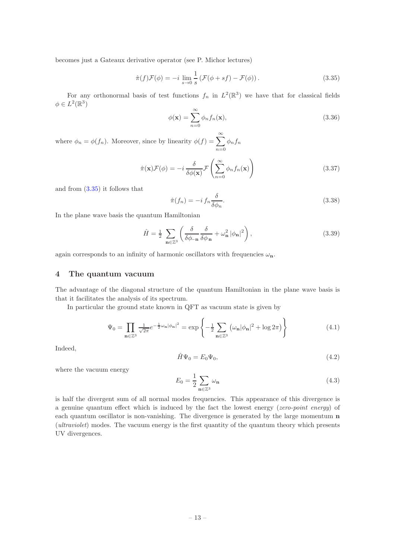becomes just a Gateaux derivative operator (see P. Michor lectures)

<span id="page-13-1"></span>
$$
\hat{\pi}(f)\mathcal{F}(\phi) = -i \lim_{s \to 0} \frac{1}{s} \left( \mathcal{F}(\phi + sf) - \mathcal{F}(\phi) \right). \tag{3.35}
$$

For any orthonormal basis of test functions  $f_n$  in  $L^2(\mathbb{R}^3)$  we have that for classical fields  $\phi \in L^2(\mathbb{R}^3)$ 

$$
\phi(\mathbf{x}) = \sum_{n=0}^{\infty} \phi_n f_n(\mathbf{x}),\tag{3.36}
$$

where  $\phi_n = \phi(f_n)$ . Moreover, since by linearity  $\phi(f) = \sum_{n=0}^{\infty}$  $n=0$  $\phi_n f_n$ 

$$
\hat{\pi}(\mathbf{x})\mathcal{F}(\phi) = -i \frac{\delta}{\delta\phi(\mathbf{x})}\mathcal{F}\left(\sum_{n=0}^{\infty} \phi_n f_n(\mathbf{x})\right)
$$
\n(3.37)

and from [\(3.35\)](#page-13-1) it follows that

$$
\hat{\pi}(f_n) = -i \, f_n \frac{\delta}{\delta \phi_n}.\tag{3.38}
$$

In the plane wave basis the quantum Hamiltonian

$$
\hat{H} = \frac{1}{2} \sum_{\mathbf{n} \in \mathbb{Z}^3} \left( \frac{\delta}{\delta \phi_{-\mathbf{n}}} \frac{\delta}{\delta \phi_{\mathbf{n}}} + \omega_{\mathbf{n}}^2 |\phi_{\mathbf{n}}|^2 \right),\tag{3.39}
$$

<span id="page-13-0"></span>again corresponds to an infinity of harmonic oscillators with frequencies  $\omega_{\mathbf{n}}$ .

## 4 The quantum vacuum

The advantage of the diagonal structure of the quantum Hamiltonian in the plane wave basis is that it facilitates the analysis of its spectrum.

In particular the ground state known in QFT as vacuum state is given by

<span id="page-13-2"></span>
$$
\Psi_0 = \prod_{\mathbf{n} \in \mathbb{Z}^3} \frac{1}{\sqrt{2\pi}} e^{-\frac{1}{2}\omega_{\mathbf{n}} |\phi_{\mathbf{n}}|^2} = \exp\left\{-\frac{1}{2} \sum_{\mathbf{n} \in \mathbb{Z}^3} \left(\omega_{\mathbf{n}} |\phi_{\mathbf{n}}|^2 + \log 2\pi\right)\right\}
$$
(4.1)

Indeed,

$$
\hat{H}\Psi_0 = E_0\Psi_0,\tag{4.2}
$$

where the vacuum energy

$$
E_0 = \frac{1}{2} \sum_{\mathbf{n} \in \mathbb{Z}^3} \omega_{\mathbf{n}} \tag{4.3}
$$

is half the divergent sum of all normal modes frequencies. This appearance of this divergence is a genuine quantum effect which is induced by the fact the lowest energy (zero-point energy) of each quantum oscillator is non-vanishing. The divergence is generated by the large momentum  $n$ (ultraviolet) modes. The vacuum energy is the first quantity of the quantum theory which presents UV divergences.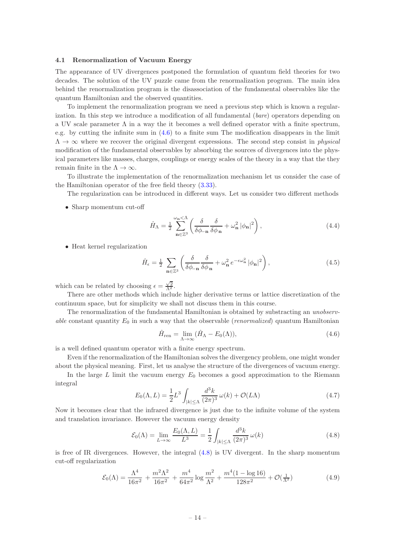### <span id="page-14-0"></span>4.1 Renormalization of Vacuum Energy

The appearance of UV divergences postponed the formulation of quantum field theories for two decades. The solution of the UV puzzle came from the renormalization program. The main idea behind the renormalization program is the disassociation of the fundamental observables like the quantum Hamiltonian and the observed quantities.

To implement the renormalization program we need a previous step which is known a regularization. In this step we introduce a modification of all fundamental (bare) operators depending on a UV scale parameter  $\Lambda$  in a way the it becomes a well defined operator with a finite spectrum, e.g. by cutting the infinite sum in [\(4.6\)](#page-14-2) to a finite sum The modification disappears in the limit  $\Lambda \to \infty$  where we recover the original divergent expressions. The second step consist in physical modification of the fundamental observables by absorbing the sources of divergences into the physical parameters like masses, charges, couplings or energy scales of the theory in a way that the they remain finite in the  $\Lambda \to \infty$ .

To illustrate the implementation of the renormalization mechanism let us consider the case of the Hamiltonian operator of the free field theory [\(3.33\)](#page-12-0).

The regularization can be introduced in different ways. Let us consider two different methods

• Sharp momentum cut-off

<span id="page-14-1"></span>
$$
\hat{H}_{\Lambda} = \frac{1}{2} \sum_{\mathbf{n} \in \mathbb{Z}^3}^{\omega_{\mathbf{n}} < \Lambda} \left( \frac{\delta}{\delta \phi_{-\mathbf{n}}} \frac{\delta}{\delta \phi_{\mathbf{n}}} + \omega_{\mathbf{n}}^2 |\phi_{\mathbf{n}}|^2 \right),\tag{4.4}
$$

• Heat kernel regularization

$$
\hat{H}_{\epsilon} = \frac{1}{2} \sum_{\mathbf{n} \in \mathbb{Z}^3} \left( \frac{\delta}{\delta \phi_{-\mathbf{n}}} \frac{\delta}{\delta \phi_{\mathbf{n}}} + \omega_{\mathbf{n}}^2 e^{-\epsilon \omega_{\mathbf{n}}^2} |\phi_{\mathbf{n}}|^2 \right), \tag{4.5}
$$

which can be related by choosing  $\epsilon = \frac{\sqrt{2}}{\Lambda^2}$ .

There are other methods which include higher derivative terms or lattice discretization of the continuum space, but for simplicity we shall not discuss them in this course.

The renormalization of the fundamental Hamiltonian is obtained by substracting an unobservable constant quantity  $E_0$  in such a way that the observable (*renormalized*) quantum Hamiltonian

<span id="page-14-2"></span>
$$
\hat{H}_{\text{ren}} = \lim_{\Lambda \to \infty} (\hat{H}_{\Lambda} - E_0(\Lambda)),\tag{4.6}
$$

is a well defined quantum operator with a finite energy spectrum.

Even if the renormalization of the Hamiltonian solves the divergency problem, one might wonder about the physical meaning. First, let us analyse the structure of the divergences of vacuum energy.

In the large  $L$  limit the vacuum energy  $E_0$  becomes a good approximation to the Riemann integral

$$
E_0(\Lambda, L) = \frac{1}{2}L^3 \int_{|k| \le \Lambda} \frac{d^3k}{(2\pi)^3} \omega(k) + \mathcal{O}(L\Lambda)
$$
\n(4.7)

Now it becomes clear that the infrared divergence is just due to the infinite volume of the system and translation invariance. However the vacuum energy density

<span id="page-14-3"></span>
$$
\mathcal{E}_0(\Lambda) = \lim_{L \to \infty} \frac{E_0(\Lambda, L)}{L^3} = \frac{1}{2} \int_{|k| \le \Lambda} \frac{d^3 k}{(2\pi)^3} \omega(k) \tag{4.8}
$$

is free of IR divergences. However, the integral [\(4.8\)](#page-14-3) is UV divergent. In the sharp momentum cut-off regularization

$$
\mathcal{E}_0(\Lambda) = \frac{\Lambda^4}{16\pi^2} + \frac{m^2\Lambda^2}{16\pi^2} + \frac{m^4}{64\pi^2} \log \frac{m^2}{\Lambda^2} + \frac{m^4(1 - \log 16)}{128\pi^2} + \mathcal{O}(\frac{1}{\Lambda^2})
$$
(4.9)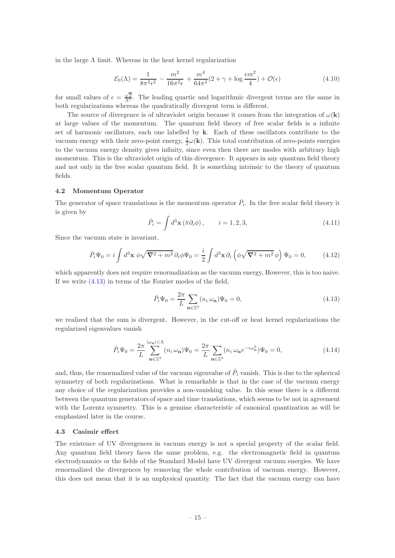in the large  $\Lambda$  limit. Whereas in the heat kernel regularization

$$
\mathcal{E}_0(\Lambda) = \frac{1}{8\pi^2 \epsilon^2} - \frac{m^2}{16\pi^2 \epsilon} + \frac{m^4}{64\pi^2} (2 + \gamma + \log \frac{\epsilon m^2}{4}) + \mathcal{O}(\epsilon)
$$
\n(4.10)

for small values of  $\epsilon = \frac{\sqrt{2}}{\Lambda^2}$ . The leading quartic and logarithmic divergent terms are the same in both regularizations whereas the quadratically divergent term is different.

The source of divergence is of ultraviolet origin because it comes from the integration of  $\omega(\mathbf{k})$ at large values of the momentum. The quantum field theory of free scalar fields is a infinite set of harmonic oscillators, each one labelled by k. Each of these oscillators contribute to the vacuum energy with their zero-point energy,  $\frac{1}{2}\omega(\mathbf{k})$ . This total contribution of zero-points energies to the vacuum energy density gives infinity, since even then there are modes with arbitrary high momentum. This is the ultraviolet origin of this divergence. It appears in any quantum field theory and not only in the free scalar quantum field. It is something intrinsic to the theory of quantum fields.

#### <span id="page-15-0"></span>4.2 Momentum Operator

The generator of space translations is the momentum operator  $\hat{P}_i$ . In the free scalar field theory it is given by

$$
\hat{P}_i = \int d^3 \mathbf{x} \left( \hat{\pi} \partial_i \phi \right), \qquad i = 1, 2, 3,
$$
\n(4.11)

Since the vacuum state is invariant,

$$
\hat{P}_i\Psi_0 = i \int d^3 \mathbf{x} \; \phi \sqrt{\mathbf{\nabla}^2 + m^2} \, \partial_i \phi \Psi_0 = \frac{i}{2} \int d^3 \mathbf{x} \, \partial_i \left( \phi \sqrt{\mathbf{\nabla}^2 + m^2} \, \phi \right) \Psi_0 = 0, \tag{4.12}
$$

which apparently does not require renormalization as the vacuum energy, However, this is too naive. If we write [\(4.13\)](#page-15-2) in terms of the Fourier modes of the field,

<span id="page-15-2"></span>
$$
\hat{P}_i \Psi_0 = \frac{2\pi}{L} \sum_{\mathbf{n} \in \mathbb{Z}^3} (n_i \,\omega_\mathbf{n}) \Psi_0 = 0,\tag{4.13}
$$

we realized that the sum is divergent. However, in the cut-off or heat kernel regularizations the regularized eigenvalues vanish

$$
\hat{P}_i \Psi_0 = \frac{2\pi}{L} \sum_{\mathbf{n} \in \mathbb{Z}^3}^{\left|\omega_{\mathbf{n}}\right| < \Lambda} (n_i \,\omega_{\mathbf{n}}) \Psi_0 = \frac{2\pi}{L} \sum_{\mathbf{n} \in \mathbb{Z}^3} (n_i \,\omega_{\mathbf{n}} e^{-\epsilon \omega_{\mathbf{n}}^2}) \Psi_0 = 0,\tag{4.14}
$$

and, thus, the renormalized value of the vacuum eigenvalue of  $\hat{P}_i$  vanish. This is due to the spherical symmetry of both regularizations. What is remarkable is that in the case of the vacuum energy any choice of the regularization provides a non-vanishing value. In this sense there is a different between the quantum generators of space and time translations, which seems to be not in agreement with the Lorentz symmetry. This is a genuine characteristic of canonical quantization as will be emphasized later in the course.

#### <span id="page-15-1"></span>4.3 Casimir effect

The existence of UV divergences in vacuum energy is not a special property of the scalar field. Any quantum field theory faces the same problem, e.g. the electromagnetic field in quantum electrodynamics or the fields of the Standard Model have UV divergent vacuum energies. We have renormalized the divergences by removing the whole contribution of vacuum energy. However, this does not mean that it is an unphysical quantity. The fact that the vacuum energy can have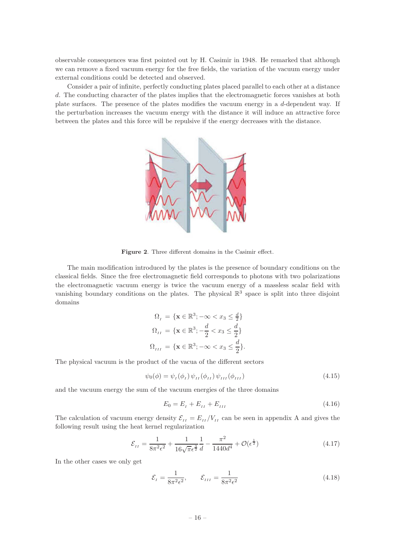observable consequences was first pointed out by H. Casimir in 1948. He remarked that although we can remove a fixed vacuum energy for the free fields, the variation of the vacuum energy under external conditions could be detected and observed.

Consider a pair of infinite, perfectly conducting plates placed parallel to each other at a distance d. The conducting character of the plates implies that the electromagnetic forces vanishes at both plate surfaces. The presence of the plates modifies the vacuum energy in a d-dependent way. If the perturbation increases the vacuum energy with the distance it will induce an attractive force between the plates and this force will be repulsive if the energy decreases with the distance.



Figure 2. Three different domains in the Casimir effect.

The main modification introduced by the plates is the presence of boundary conditions on the classical fields. Since the free electromagnetic field corresponds to photons with two polarizations the electromagnetic vacuum energy is twice the vacuum energy of a massless scalar field with vanishing boundary conditions on the plates. The physical  $\mathbb{R}^3$  space is split into three disjoint domains

$$
\Omega_{I} = \{ \mathbf{x} \in \mathbb{R}^{3}; -\infty < x_{3} \leq \frac{d}{2} \}
$$
\n
$$
\Omega_{II} = \{ \mathbf{x} \in \mathbb{R}^{3}; -\frac{d}{2} < x_{3} \leq \frac{d}{2} \}
$$
\n
$$
\Omega_{III} = \{ \mathbf{x} \in \mathbb{R}^{3}; -\infty < x_{3} \leq \frac{d}{2} \}.
$$

The physical vacuum is the product of the vacua of the different sectors

$$
\psi_0(\phi) = \psi_I(\phi_I) \psi_{II}(\phi_{II}) \psi_{III}(\phi_{III})
$$
\n(4.15)

and the vacuum energy the sum of the vacuum energies of the three domains

$$
E_0 = E_I + E_{II} + E_{III} \tag{4.16}
$$

The calculation of vacuum energy density  $\mathcal{E}_{II} = E_{II}/V_{II}$  can be seen in appendix A and gives the following result using the heat kernel regularization

$$
\mathcal{E}_{II} = \frac{1}{8\pi^2 \epsilon^2} + \frac{1}{16\sqrt{\pi} \epsilon^{\frac{3}{2}}} \frac{1}{d} - \frac{\pi^2}{1440d^4} + \mathcal{O}(\epsilon^{\frac{1}{2}})
$$
(4.17)

In the other cases we only get

$$
\mathcal{E}_I = \frac{1}{8\pi^2 \epsilon^2}, \qquad \mathcal{E}_{III} = \frac{1}{8\pi^2 \epsilon^2} \tag{4.18}
$$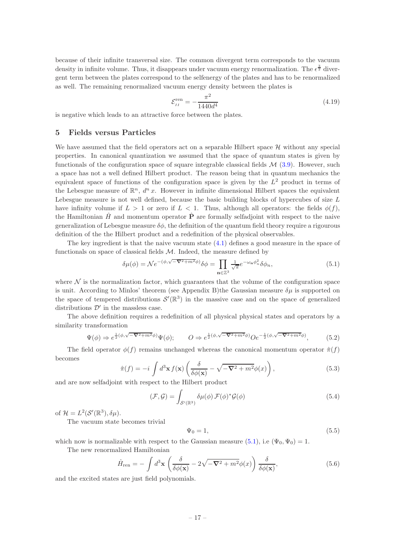because of their infinite transversal size. The common divergent term corresponds to the vacuum density in infinite volume. Thus, it disappears under vacuum energy renormalization. The  $\epsilon^{\frac{3}{2}}$  divergent term between the plates correspond to the selfenergy of the plates and has to be renormalized as well. The remaining renormalized vacuum energy density between the plates is

$$
\mathcal{E}_{II}^{\text{ren}} = -\frac{\pi^2}{1440d^4} \tag{4.19}
$$

<span id="page-17-0"></span>is negative which leads to an attractive force between the plates.

## 5 Fields versus Particles

We have assumed that the field operators act on a separable Hilbert space  $\mathcal H$  without any special properties. In canonical quantization we assumed that the space of quantum states is given by functionals of the configuration space of square integrable classical fields  $\mathcal{M}$  [\(3.9\)](#page-10-1). However, such a space has not a well defined Hilbert product. The reason being that in quantum mechanics the equivalent space of functions of the configuration space is given by the  $L^2$  product in terms of the Lebesgue measure of  $\mathbb{R}^n$ ,  $d^n x$ . However in infinite dimensional Hilbert spaces the equivalent Lebesgue measure is not well defined, because the basic building blocks of hypercubes of size L have infinity volume if  $L > 1$  or zero if  $L < 1$ . Thus, although all operators: the fields  $\phi(f)$ , the Hamiltonian  $\hat{H}$  and momentum operator  $\hat{P}$  are formally selfadjoint with respect to the naive generalization of Lebesgue measure  $\delta\phi$ , the definition of the quantum field theory require a rigourous definition of the the Hilbert product and a redefinition of the physical observables.

The key ingredient is that the naive vacuum state [\(4.1\)](#page-13-2) defines a good measure in the space of functionals on space of classical fields  $M$ . Indeed, the measure defined by

<span id="page-17-1"></span>
$$
\delta\mu(\phi) = \mathcal{N}e^{-(\phi,\sqrt{-\nabla^2 + m^2}\phi)}\delta\phi = \prod_{\mathbf{n}\in\mathbb{Z}^3} \frac{1}{\sqrt{\pi}} e^{-\omega_{\mathbf{n}}\phi_n^2} \delta\phi_n,\tag{5.1}
$$

where  $\mathcal N$  is the normalization factor, which guarantees that the volume of the configuration space is unit. According to Minlos' theorem (see Appendix B)the Gaussian measure  $\delta \mu$  is supported on the space of tempered distributions  $\mathcal{S}'(\mathbb{R}^3)$  in the massive case and on the space of generalized distributions  $\mathcal{D}'$  in the massless case.

The above definition requires a redefinition of all physical physical states and operators by a similarity transformation

$$
\Psi(\phi) \Rightarrow e^{\frac{1}{2}(\phi,\sqrt{-\nabla^2 + m^2}\phi)}\Psi(\phi); \qquad O \Rightarrow e^{\frac{1}{2}(\phi,\sqrt{-\nabla^2 + m^2}\phi)}Oe^{-\frac{1}{2}(\phi,\sqrt{-\nabla^2 + m^2}\phi)}, \tag{5.2}
$$

The field operator  $\phi(f)$  remains unchanged whereas the canonical momentum operator  $\hat{\pi}(f)$ becomes

$$
\hat{\pi}(f) = -i \int d^3 \mathbf{x} f(\mathbf{x}) \left( \frac{\delta}{\delta \phi(\mathbf{x})} - \sqrt{-\nabla^2 + m^2} \phi(x) \right),\tag{5.3}
$$

and are now selfadjoint with respect to the Hilbert product

$$
(\mathcal{F}, \mathcal{G}) = \int_{\mathcal{S}'(\mathbb{R}^3)} \delta \mu(\phi) \, \mathcal{F}(\phi)^* \mathcal{G}(\phi) \tag{5.4}
$$

of  $\mathcal{H} = L^2(\mathcal{S}'(\mathbb{R}^3), \delta\mu).$ 

The vacuum state becomes trivial

$$
\Psi_0 = 1,\tag{5.5}
$$

which now is normalizable with respect to the Gaussian measure [\(5.1\)](#page-17-1), i.e ( $\Psi_0$ ,  $\Psi_0$ ) = 1.

The new renormalized Hamiltonian

$$
\hat{H}_{\text{ren}} = -\int d^3 \mathbf{x} \left( \frac{\delta}{\delta \phi(\mathbf{x})} - 2\sqrt{-\nabla^2 + m^2} \phi(x) \right) \frac{\delta}{\delta \phi(\mathbf{x})},\tag{5.6}
$$

and the excited states are just field polynomials.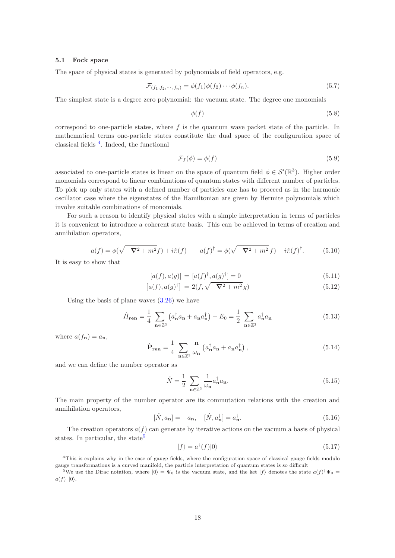## <span id="page-18-0"></span>5.1 Fock space

The space of physical states is generated by polynomials of field operators, e.g.

$$
\mathcal{F}_{(f_1, f_2, \cdots, f_n)} = \phi(f_1)\phi(f_2)\cdots\phi(f_n). \tag{5.7}
$$

The simplest state is a degree zero polynomial: the vacuum state. The degree one monomials

$$
\phi(f) \tag{5.8}
$$

correspond to one-particle states, where  $f$  is the quantum wave packet state of the particle. In mathematical terms one-particle states constitute the dual space of the configuration space of classical fields [4](#page-18-1) . Indeed, the functional

$$
\mathcal{F}_f(\phi) = \phi(f) \tag{5.9}
$$

associated to one-particle states is linear on the space of quantum field  $\phi \in \mathcal{S}'(\mathbb{R}^3)$ . Higher order monomials correspond to linear combinations of quantum states with different number of particles. To pick up only states with a defined number of particles one has to proceed as in the harmonic oscillator case where the eigenstates of the Hamiltonian are given by Hermite polynomials which involve suitable combinations of monomials.

For such a reason to identify physical states with a simple interpretation in terms of particles it is convenient to introduce a coherent state basis. This can be achieved in terms of creation and annihilation operators,

$$
a(f) = \phi(\sqrt{-\nabla^2 + m^2}f) + i\hat{\pi}(f) \qquad a(f)^{\dagger} = \phi(\sqrt{-\nabla^2 + m^2}f) - i\hat{\pi}(f)^{\dagger}.
$$
 (5.10)

It is easy to show that

$$
[a(f), a(g)] = [a(f)^{\dagger}, a(g)^{\dagger}] = 0
$$
\n(5.11)

$$
\left[a(f), a(g)^{\dagger}\right] = 2(f, \sqrt{-\nabla^2 + m^2} g) \tag{5.12}
$$

Using the basis of plane waves  $(3.26)$  we have

$$
\hat{H}_{\mathbf{ren}} = \frac{1}{4} \sum_{\mathbf{n} \in \mathbb{Z}^3} \left( a_{\mathbf{n}}^\dagger a_{\mathbf{n}} + a_{\mathbf{n}} a_{\mathbf{n}}^\dagger \right) - E_0 = \frac{1}{2} \sum_{\mathbf{n} \in \mathbb{Z}^3} a_{\mathbf{n}}^\dagger a_{\mathbf{n}} \tag{5.13}
$$

where  $a(f_n) = a_n$ ,

$$
\hat{\mathbf{P}}_{\mathbf{ren}} = \frac{1}{4} \sum_{\mathbf{n} \in \mathbb{Z}^3} \frac{\mathbf{n}}{\omega_\mathbf{n}} \left( a_\mathbf{n}^\dagger a_\mathbf{n} + a_\mathbf{n} a_\mathbf{n}^\dagger \right),\tag{5.14}
$$

and we can define the number operator as

$$
\hat{N} = \frac{1}{2} \sum_{\mathbf{n} \in \mathbb{Z}^3} \frac{1}{\omega_{\mathbf{n}}} a_{\mathbf{n}}^{\dagger} a_{\mathbf{n}}.
$$
\n(5.15)

The main property of the number operator are its commutation relations with the creation and annihilation operators,

$$
[\hat{N}, a_{\mathbf{n}}] = -a_{\mathbf{n}}, \quad [\hat{N}, a_{\mathbf{n}}^{\dagger}] = a_{\mathbf{n}}^{\dagger}.
$$
\n(5.16)

The creation operators  $a(f)$  can generate by iterative actions on the vacuum a basis of physical states. In particular, the state<sup>[5](#page-18-2)</sup>

$$
|f\rangle = a^{\dagger}(f)|0\rangle \tag{5.17}
$$

<span id="page-18-1"></span><sup>4</sup>This is explains why in the case of gauge fields, where the configuration space of classical gauge fields modulo gauge transformations is a curved manifold, the particle interpretation of quantum states is so difficult

<span id="page-18-2"></span><sup>&</sup>lt;sup>5</sup>We use the Dirac notation, where  $|0\rangle = \Psi_0$  is the vacuum state, and the ket  $|f\rangle$  denotes the state  $a(f)^{\dagger}\Psi_0 =$  $a(f)^{\dagger} |0\rangle$ .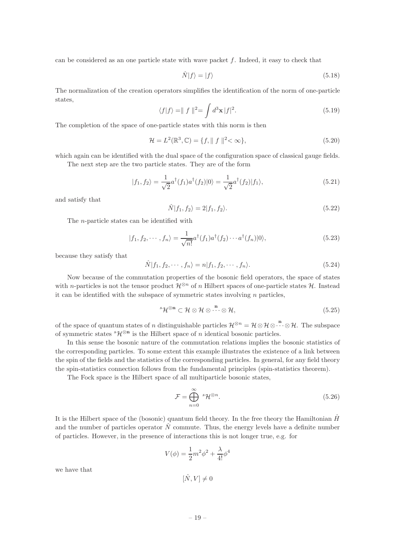can be considered as an one particle state with wave packet f. Indeed, it easy to check that

$$
\hat{N}|f\rangle = |f\rangle \tag{5.18}
$$

The normalization of the creation operators simplifies the identification of the norm of one-particle states,

$$
\langle f|f\rangle = || f ||^2 = \int d^3 \mathbf{x} |f|^2.
$$
\n(5.19)

The completion of the space of one-particle states with this norm is then

$$
\mathcal{H} = L^2(\mathbb{R}^3, \mathbb{C}) = \{f, \| \int f \|^2 < \infty \},\tag{5.20}
$$

which again can be identified with the dual space of the configuration space of classical gauge fields.

The next step are the two particle states. They are of the form

$$
|f_1, f_2\rangle = \frac{1}{\sqrt{2}} a^{\dagger}(f_1) a^{\dagger}(f_2)|0\rangle = \frac{1}{\sqrt{2}} a^{\dagger}(f_2)|f_1\rangle,
$$
\n(5.21)

and satisfy that

$$
\hat{N}|f_1, f_2\rangle = 2|f_1, f_2\rangle. \tag{5.22}
$$

The n-particle states can be identified with

$$
|f_1, f_2, \cdots, f_n\rangle = \frac{1}{\sqrt{n!}} a^{\dagger}(f_1) a^{\dagger}(f_2) \cdots a^{\dagger}(f_n)|0\rangle,
$$
\n(5.23)

because they satisfy that

$$
\hat{N}|f_1, f_2, \cdots, f_n\rangle = n|f_1, f_2, \cdots, f_n\rangle.
$$
\n(5.24)

Now because of the commutation properties of the bosonic field operators, the space of states with n-particles is not the tensor product  $\mathcal{H}^{\otimes n}$  of n Hilbert spaces of one-particle states  $\mathcal{H}$ . Instead it can be identified with the subspace of symmetric states involving  $n$  particles,

$$
{}^{s}\mathcal{H}^{\otimes n} \subset \mathcal{H} \otimes \mathcal{H} \otimes \cdots \otimes \mathcal{H}, \tag{5.25}
$$

of the space of quantum states of n distinguishable particles  $\mathcal{H}^{\otimes n} = \mathcal{H} \otimes \mathcal{H} \otimes \cdots \otimes \mathcal{H}$ . The subspace of symmetric states  ${}^s\mathcal{H}^{\otimes n}$  is the Hilbert space of n identical bosonic particles.

In this sense the bosonic nature of the commutation relations implies the bosonic statistics of the corresponding particles. To some extent this example illustrates the existence of a link between the spin of the fields and the statistics of the corresponding particles. In general, for any field theory the spin-statistics connection follows from the fundamental principles (spin-statistics theorem).

The Fock space is the Hilbert space of all multiparticle bosonic states,

$$
\mathcal{F} = \bigoplus_{n=0}^{\infty} {}^{s} \mathcal{H}^{\otimes n}.
$$
 (5.26)

It is the Hilbert space of the (bosonic) quantum field theory. In the free theory the Hamiltonian  $\hat{H}$ and the number of particles operator  $\tilde{N}$  commute. Thus, the energy levels have a definite number of particles. However, in the presence of interactions this is not longer true, e.g. for

$$
V(\phi) = \frac{1}{2}m^2\phi^2 + \frac{\lambda}{4!}\phi^4
$$

we have that

$$
[\hat{N},V]\neq 0
$$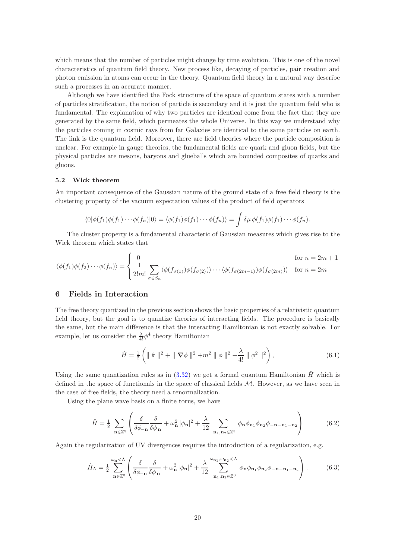which means that the number of particles might change by time evolution. This is one of the novel characteristics of quantum field theory. New process like, decaying of particles, pair creation and photon emission in atoms can occur in the theory. Quantum field theory in a natural way describe such a processes in an accurate manner.

Although we have identified the Fock structure of the space of quantum states with a number of particles stratification, the notion of particle is secondary and it is just the quantum field who is fundamental. The explanation of why two particles are identical come from the fact that they are generated by the same field, which permeates the whole Universe. In this way we understand why the particles coming in cosmic rays from far Galaxies are identical to the same particles on earth. The link is the quantum field. Moreover, there are field theories where the particle composition is unclear. For example in gauge theories, the fundamental fields are quark and gluon fields, but the physical particles are mesons, baryons and glueballs which are bounded composites of quarks and gluons.

## <span id="page-20-0"></span>5.2 Wick theorem

An important consequence of the Gaussian nature of the ground state of a free field theory is the clustering property of the vacuum expectation values of the product of field operators

$$
\langle 0|\phi(f_1)\phi(f_1)\cdots\phi(f_n)|0\rangle = \langle \phi(f_1)\phi(f_1)\cdots\phi(f_n)\rangle = \int \delta\mu \, \phi(f_1)\phi(f_1)\cdots\phi(f_n).
$$

The cluster property is a fundamental characteric of Gaussian measures which gives rise to the Wick theorem which states that

$$
\langle \phi(f_1)\phi(f_2)\cdots\phi(f_n)\rangle = \begin{cases} 0 & \text{for } n = 2m+1 \\ \frac{1}{2!m!} \sum_{\sigma \in S_n} \langle \phi(f_{\sigma(1)})\phi(f_{\sigma(2)})\rangle \cdots \langle \phi(f_{\sigma(2m-1)})\phi(f_{\sigma(2m)})\rangle & \text{for } n = 2m \end{cases}
$$

## <span id="page-20-1"></span>6 Fields in Interaction

The free theory quantized in the previous section shows the basic properties of a relativistic quantum field theory, but the goal is to quantize theories of interacting fields. The procedure is basically the same, but the main difference is that the interacting Hamiltonian is not exactly solvable. For example, let us consider the  $\frac{\lambda}{4!} \phi^4$  theory Hamiltonian

$$
\hat{H} = \frac{1}{2} \left( \| \hat{\pi} \|^{2} + \| \nabla \phi \|^{2} + m^{2} \| \phi \|^{2} + \frac{\lambda}{4!} \| \phi^{2} \|^{2} \right),
$$
\n(6.1)

Using the same quantization rules as in  $(3.32)$  we get a formal quantum Hamiltonian  $\hat{H}$  which is defined in the space of functionals in the space of classical fields  $M$ . However, as we have seen in the case of free fields, the theory need a renormalization.

Using the plane wave basis on a finite torus, we have

$$
\hat{H} = \frac{1}{2} \sum_{\mathbf{n} \in \mathbb{Z}^3} \left( \frac{\delta}{\delta \phi_{-\mathbf{n}}} \frac{\delta}{\delta \phi_{\mathbf{n}}} + \omega_{\mathbf{n}}^2 |\phi_{\mathbf{n}}|^2 + \frac{\lambda}{12} \sum_{\mathbf{n}_1, \mathbf{n}_2 \in \mathbb{Z}^3} \phi_{\mathbf{n}} \phi_{\mathbf{n}_1} \phi_{\mathbf{n}_2} \phi_{-\mathbf{n} - \mathbf{n}_1 - \mathbf{n}_2} \right)
$$
(6.2)

Again the regularization of UV divergences requires the introduction of a regularization, e.g.

<span id="page-20-2"></span>
$$
\hat{H}_{\Lambda} = \frac{1}{2} \sum_{\mathbf{n} \in \mathbb{Z}^3}^{\omega_{\mathbf{n}} < \Lambda} \left( \frac{\delta}{\delta \phi_{-\mathbf{n}}} \frac{\delta}{\delta \phi_{\mathbf{n}}} + \omega_{\mathbf{n}}^2 |\phi_{\mathbf{n}}|^2 + \frac{\lambda}{12} \sum_{\mathbf{n}_1, \mathbf{n}_2 \in \mathbb{Z}^3}^{\omega_{\mathbf{n}_1}, \omega_{\mathbf{n}_2} < \Lambda} \phi_{\mathbf{n}} \phi_{\mathbf{n}_1} \phi_{\mathbf{n}_2} \phi_{-\mathbf{n} - \mathbf{n}_1 - \mathbf{n}_2} \right). \tag{6.3}
$$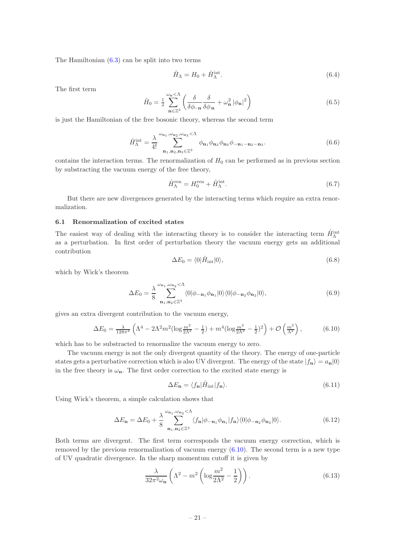The Hamiltonian [\(6.3\)](#page-20-2) can be split into two terms

$$
\hat{H}_{\Lambda} = H_0 + \hat{H}_{\Lambda}^{\text{int}}.\tag{6.4}
$$

The first term

$$
\hat{H}_0 = \frac{1}{2} \sum_{\mathbf{n} \in \mathbb{Z}^3}^{\omega_{\mathbf{n}} < \Lambda} \left( \frac{\delta}{\delta \phi_{-\mathbf{n}}} \frac{\delta}{\delta \phi_{\mathbf{n}}} + \omega_{\mathbf{n}}^2 |\phi_{\mathbf{n}}|^2 \right) \tag{6.5}
$$

is just the Hamiltonian of the free bosonic theory, whereas the second term

$$
\hat{H}_{\Lambda}^{\text{int}} = \frac{\lambda}{4!} \sum_{\mathbf{n}_1, \mathbf{n}_2, \mathbf{n}_3 \in \mathbb{Z}^3}^{\omega_{\mathbf{n}_1}, \omega_{\mathbf{n}_2}, \omega_{\mathbf{n}_3} < \Lambda} \phi_{\mathbf{n}_1} \phi_{\mathbf{n}_2} \phi_{\mathbf{n}_3} \phi_{-\mathbf{n}_1 - \mathbf{n}_2 - \mathbf{n}_3}.
$$
\n(6.6)

contains the interaction terms. The renormalization of  $H_0$  can be performed as in previous section by substracting the vacuum energy of the free theory,

$$
\hat{H}_{\Lambda}^{\text{ren}} = H_0^{\text{ren}} + \hat{H}_{\Lambda}^{\text{int}}.\tag{6.7}
$$

But there are new divergences generated by the interacting terms which require an extra renormalization.

## <span id="page-21-0"></span>6.1 Renormalization of excited states

The easiest way of dealing with the interacting theory is to consider the interacting term  $\hat{H}^{\text{int}}_{\Lambda}$ as a perturbation. In first order of perturbation theory the vacuum energy gets an additional contribution

$$
\Delta E_0 = \langle 0 | \hat{H}_{\text{int}} | 0 \rangle, \tag{6.8}
$$

which by Wick's theorem

$$
\Delta E_0 = \frac{\lambda}{8} \sum_{\mathbf{n}_1, \mathbf{n}_2 \in \mathbb{Z}^3}^{\omega_{\mathbf{n}_1}, \omega_{\mathbf{n}_2} < \Lambda} \langle 0 | \phi_{-\mathbf{n}_1} \phi_{\mathbf{n}_1} | 0 \rangle \langle 0 | \phi_{-\mathbf{n}_2} \phi_{\mathbf{n}_2} | 0 \rangle, \tag{6.9}
$$

gives an extra divergent contribution to the vacuum energy,

<span id="page-21-1"></span>
$$
\Delta E_0 = \frac{\lambda}{128\pi^4} \left( \Lambda^4 - 2\Lambda^2 m^2 (\log \frac{m^2}{2\Lambda^2} - \frac{1}{2}) + m^4 (\log \frac{m^2}{2\Lambda^2} - \frac{1}{2})^2 \right) + \mathcal{O}\left(\frac{m^2}{\Lambda^2}\right),\tag{6.10}
$$

which has to be substracted to renormalize the vacuum energy to zero.

The vacuum energy is not the only divergent quantity of the theory. The energy of one-particle states gets a perturbative correction which is also UV divergent. The energy of the state  $|f_n\rangle = a_n|0\rangle$ in the free theory is  $\omega_n$ . The first order correction to the excited state energy is

$$
\Delta E_{\mathbf{n}} = \langle f_{\mathbf{n}} | \hat{H}_{\text{int}} | f_{\mathbf{n}} \rangle. \tag{6.11}
$$

Using Wick's theorem, a simple calculation shows that

$$
\Delta E_{\mathbf{n}} = \Delta E_0 + \frac{\lambda}{8} \sum_{\mathbf{n}_1, \mathbf{n}_2 \in \mathbb{Z}^3}^{\omega_{\mathbf{n}_1}, \omega_{\mathbf{n}_2} < \Lambda} \langle f_{\mathbf{n}} | \phi_{-\mathbf{n}_1} \phi_{\mathbf{n}_1} | f_{\mathbf{n}} \rangle \langle 0 | \phi_{-\mathbf{n}_2} \phi_{\mathbf{n}_2} | 0 \rangle. \tag{6.12}
$$

Both terms are divergent. The first term corresponds the vacuum energy correction, which is removed by the previous renormalization of vacuum energy  $(6.10)$ . The second term is a new type of UV quadratic divergence. In the sharp momentum cutoff it is given by

$$
\frac{\lambda}{32\pi^2\omega_{\mathbf{n}}}\left(\Lambda^2 - m^2\left(\log\frac{m^2}{2\Lambda^2} - \frac{1}{2}\right)\right). \tag{6.13}
$$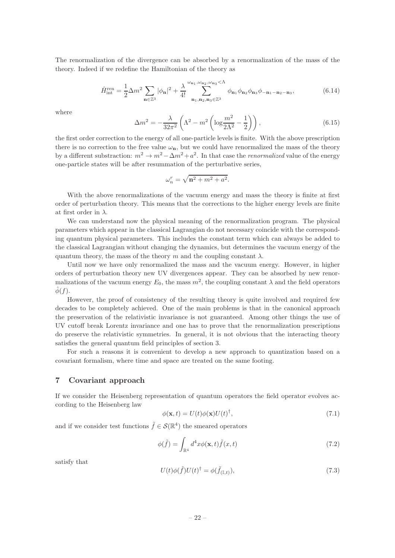The renormalization of the divergence can be absorbed by a renormalization of the mass of the theory. Indeed if we redefine the Hamiltonian of the theory as

$$
\hat{H}_{\text{int}}^{\text{ren}} = \frac{1}{2} \Delta m^2 \sum_{\mathbf{n} \in \mathbb{Z}^3} |\phi_{\mathbf{n}}|^2 + \frac{\lambda}{4!} \sum_{\mathbf{n}_1, \mathbf{n}_2, \mathbf{n}_3 \in \mathbb{Z}^3}^{\omega_{\mathbf{n}_1}, \omega_{\mathbf{n}_2}, \omega_{\mathbf{n}_3} < \Lambda} \phi_{\mathbf{n}_1} \phi_{\mathbf{n}_2} \phi_{\mathbf{n}_3} \phi_{-\mathbf{n}_1 - \mathbf{n}_2 - \mathbf{n}_3},\tag{6.14}
$$

where

$$
\Delta m^2 = -\frac{\lambda}{32\pi^2} \left( \Lambda^2 - m^2 \left( \log \frac{m^2}{2\Lambda^2} - \frac{1}{2} \right) \right),\tag{6.15}
$$

the first order correction to the energy of all one-particle levels is finite. With the above prescription there is no correction to the free value  $\omega_n$ , but we could have renormalized the mass of the theory by a different substraction:  $m^2 \to m^2 - \Delta m^2 + a^2$ . In that case the *renormalized* value of the energy one-particle states will be after resummation of the perturbative series,

$$
\omega_n^r = \sqrt{\mathbf{n}^2 + m^2 + a^2}.
$$

With the above renormalizations of the vacuum energy and mass the theory is finite at first order of perturbation theory. This means that the corrections to the higher energy levels are finite at first order in  $\lambda$ .

We can understand now the physical meaning of the renormalization program. The physical parameters which appear in the classical Lagrangian do not necessary coincide with the corresponding quantum physical parameters. This includes the constant term which can always be added to the classical Lagrangian without changing the dynamics, but determines the vacuum energy of the quantum theory, the mass of the theory m and the coupling constant  $\lambda$ .

Until now we have only renormalized the mass and the vacuum energy. However, in higher orders of perturbation theory new UV divergences appear. They can be absorbed by new renormalizations of the vacuum energy  $E_0$ , the mass  $m^2$ , the coupling constant  $\lambda$  and the field operators  $\ddot{\phi}(f)$ .

However, the proof of consistency of the resulting theory is quite involved and required few decades to be completely achieved. One of the main problems is that in the canonical approach the preservation of the relativistic invariance is not guaranteed. Among other things the use of UV cutoff break Lorentz invariance and one has to prove that the renormalization prescriptions do preserve the relativistic symmetries. In general, it is not obvious that the interacting theory satisfies the general quantum field principles of section 3.

For such a reasons it is convenient to develop a new approach to quantization based on a covariant formalism, where time and space are treated on the same footing.

## <span id="page-22-0"></span>7 Covariant approach

If we consider the Heisenberg representation of quantum operators the field operator evolves according to the Heisenberg law

$$
\phi(\mathbf{x}, t) = U(t)\phi(\mathbf{x})U(t)^{\dagger},\tag{7.1}
$$

and if we consider test functions  $\tilde{f} \in \mathcal{S}(\mathbb{R}^4)$  the smeared operators

$$
\phi(\tilde{f}) = \int_{\mathbb{R}^4} d^4x \phi(\mathbf{x}, t) \tilde{f}(x, t)
$$
\n(7.2)

satisfy that

$$
U(t)\phi(\tilde{f})U(t)^{\dagger} = \phi(\tilde{f}_{(\mathbb{I},t)}),\tag{7.3}
$$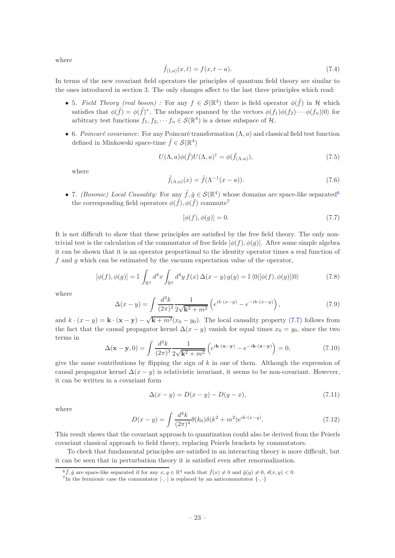where

$$
\tilde{f}_{(\mathbb{I},a)}(x,t) = f(x,t-a). \tag{7.4}
$$

In terms of the new covariant field operators the principles of quantum field theory are similar to the ones introduced in section 3. The only changes affect to the last three principles which read:

- 5. Field Theory (real boson): For any  $f \in \mathcal{S}(\mathbb{R}^3)$  there is field operator  $\phi(\tilde{f})$  in H which satisfies that  $\phi(\tilde{f}) = \phi(\tilde{f})^*$ . The subspace spanned by the vectors  $\phi(f_1)\phi(f_2)\cdots\phi(f_n)|0\rangle$  for arbitrary test functions  $f_1, f_2, \dots, f_n \in \mathcal{S}(\mathbb{R}^4)$  is a dense subspace of  $\mathcal{H}$ .
- 6. Poincaré covariance: For any Poincaré transformation  $(\Lambda, a)$  and classical field test function defined in Minkowski space-time  $\tilde{f} \in \mathcal{S}(\mathbb{R}^4)$

$$
U(\Lambda, a)\phi(\tilde{f})U(\Lambda, a)^{\dagger} = \phi(\tilde{f}_{(\Lambda, a)}),
$$
\n(7.5)

where

$$
\tilde{f}_{(\Lambda,a)}(x) = \tilde{f}(\Lambda^{-1}(x-a)).\tag{7.6}
$$

• 7. *(Bosonic)* Local Causality: For any  $\tilde{f}$ ,  $\tilde{g} \in \mathcal{S}(\mathbb{R}^4)$  whose domains are space-like separated<sup>[6](#page-23-0)</sup> the corresponding field operators  $\phi(\tilde{f}), \phi(\tilde{f})$  commute<sup>[7](#page-23-1)</sup>

<span id="page-23-2"></span>
$$
[\phi(f), \phi(g)] = 0. \tag{7.7}
$$

It is not difficult to show that these principles are satisfied by the free field theory. The only nontrivial test is the calculation of the commutator of free fields  $[\phi(f), \phi(g)]$ . After some simple algebra it can be shown that it is an operator proportional to the identity operator times a real function of f and g which can be estimated by the vacuum expectation value of the operator,

$$
[\phi(f), \phi(g)] = \mathbb{I} \int_{\mathbb{R}^4} d^4x \int_{\mathbb{R}^4} d^4y f(x) \Delta(x - y) g(y) = \mathbb{I} \langle 0 | [\phi(f), \phi(g)] | 0 \rangle \tag{7.8}
$$

where

<span id="page-23-3"></span>
$$
\Delta(x-y) = \int \frac{d^3k}{(2\pi)^3} \frac{1}{2\sqrt{k^2 + m^2}} \left( e^{ik \cdot (x-y)} - e^{-ik \cdot (x-y)} \right),\tag{7.9}
$$

and  $k \cdot (x - y) = \mathbf{k} \cdot (\mathbf{x} - \mathbf{y}) - \sqrt{\mathbf{k} + m^2}(x_0 - y_0)$ . The local causality property [\(7.7\)](#page-23-2) follows from the fact that the causal propagator kernel  $\Delta(x - y)$  vanish for equal times  $x_0 = y_0$ , since the two terms in

$$
\Delta(\mathbf{x} - \mathbf{y}, 0) = \int \frac{d^3k}{(2\pi)^3} \frac{1}{2\sqrt{\mathbf{k}^2 + m^2}} \left( e^{i\mathbf{k} \cdot (\mathbf{x} - \mathbf{y})} - e^{-i\mathbf{k} \cdot (\mathbf{x} - \mathbf{y})} \right) = 0, \tag{7.10}
$$

give the same contributions by flipping the sign of  $k$  in one of them. Although the expression of causal propagator kernel  $\Delta(x - y)$  is relativistic invariant, it seems to be non-covariant. However, it can be written in a covariant form

$$
\Delta(x - y) = D(x - y) - D(y - x),
$$
\n(7.11)

where

$$
D(x - y) = \int \frac{d^4k}{(2\pi)^4} \theta(k_0) \delta(k^2 + m^2) e^{ik \cdot (x - y)}.
$$
 (7.12)

This result shows that the covariant approach to quantization could also be derived from the Peierls covariant classical approach to field theory, replacing Peierls brackets by commutators.

To check that fundamental principles are satisfied in an interacting theory is more difficult, but it can be seen that in perturbation theory it is satisfied even after renormalization.

 $6\tilde{f}, \tilde{g}$  are space-like separated if for any  $x, y \in \mathbb{R}^4$  such that  $\tilde{f}(x) \neq 0$  and  $\tilde{g}(y) \neq 0$ ,  $d(x, y) < 0$ .

<span id="page-23-1"></span><span id="page-23-0"></span><sup>&</sup>lt;sup>7</sup>In the fermionic case the commutator  $[\cdot, \cdot]$  is replaced by an anticommutator  $\{\cdot, \cdot\}$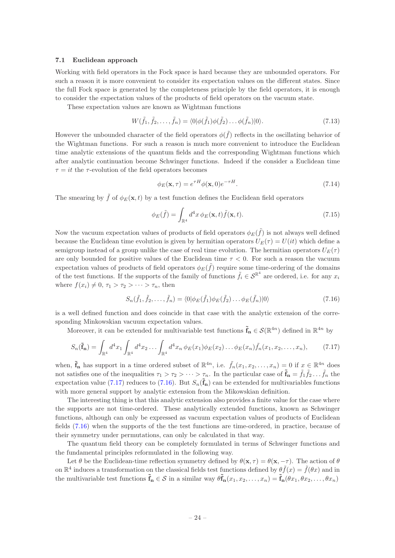## <span id="page-24-0"></span>7.1 Euclidean approach

Working with field operators in the Fock space is hard because they are unbounded operators. For such a reason it is more convenient to consider its expectation values on the different states. Since the full Fock space is generated by the completeness principle by the field operators, it is enough to consider the expectation values of the products of field operators on the vacuum state.

These expectation values are known as Wightman functions

$$
W(\tilde{f}_1, \tilde{f}_2, \dots, \tilde{f}_n) = \langle 0 | \phi(\tilde{f}_1) \phi(\tilde{f}_2) \dots \phi(\tilde{f}_n) | 0 \rangle.
$$
 (7.13)

However the unbounded character of the field operators  $\phi(\tilde{f})$  reflects in the oscillating behavior of the Wightman functions. For such a reason is much more convenient to introduce the Euclidean time analytic extensions of the quantum fields and the corresponding Wightman functions which after analytic continuation become Schwinger functions. Indeed if the consider a Euclidean time  $\tau = it$  the  $\tau$ -evolution of the field operators becomes

$$
\phi_E(\mathbf{x}, \tau) = e^{\tau H} \phi(\mathbf{x}, 0) e^{-\tau H}.
$$
\n(7.14)

The smearing by  $\tilde{f}$  of  $\phi_E(\mathbf{x}, t)$  by a test function defines the Euclidean field operators

$$
\phi_E(\tilde{f}) = \int_{\mathbb{R}^4} d^4x \, \phi_E(\mathbf{x}, t) \tilde{f}(\mathbf{x}, t). \tag{7.15}
$$

Now the vacuum expectation values of products of field operators  $\phi_E(\tilde{f})$  is not always well defined because the Euclidean time evolution is given by hermitian operators  $U_E(\tau) = U(it)$  which define a semigroup instead of a group unlike the case of real time evolution. The hermitian operators  $U_E(\tau)$ are only bounded for positive values of the Euclidean time  $\tau < 0$ . For such a reason the vacuum expectation values of products of field operators  $\phi_E(\tilde{f})$  require some time-ordering of the domains of the test functions. If the supports of the family of functions  $\tilde{f}_i \in \mathcal{S}^{\mathbb{R}^4}$  are ordered, i.e. for any  $x_i$ where  $f(x_i) \neq 0, \tau_1 > \tau_2 > \cdots > \tau_n$ , then

<span id="page-24-2"></span>
$$
S_n(\tilde{f}_1, \tilde{f}_2, \dots, \tilde{f}_n) = \langle 0 | \phi_E(\tilde{f}_1) \phi_E(\tilde{f}_2) \dots \phi_E(\tilde{f}_n) | 0 \rangle \tag{7.16}
$$

is a well defined function and does coincide in that case with the analytic extension of the corresponding Minkowskian vacuum expectation values.

Moreover, it can be extended for multivariable test functions  $\tilde{\mathbf{f}}_n \in \mathcal{S}(\mathbb{R}^{4n})$  defined in  $\mathbb{R}^{4n}$  by

<span id="page-24-1"></span>
$$
S_n(\tilde{\mathbf{f}}_n) = \int_{\mathbb{R}^4} d^4 x_1 \int_{\mathbb{R}^4} d^4 x_2 \dots \int_{\mathbb{R}^4} d^4 x_n \, \phi_E(x_1) \phi_E(x_2) \dots \phi_E(x_n) \tilde{f}_n(x_1, x_2, \dots, x_n), \tag{7.17}
$$

when,  $\tilde{\mathbf{f}}_n$  has support in a time ordered subset of  $\mathbb{R}^{4n}$ , i.e.  $\tilde{f}_n(x_1, x_2, \ldots, x_n) = 0$  if  $x \in \mathbb{R}^{4n}$  does not satisfies one of the inequalities  $\tau_1 > \tau_2 > \cdots > \tau_n$ . In the particular case of  $\tilde{\mathbf{f}}_{\mathbf{n}} = \tilde{f}_1 \tilde{f}_2 \dots \tilde{f}_n$  the expectation value [\(7.17\)](#page-24-1) reduces to [\(7.16\)](#page-24-2). But  $S_n(\tilde{f}_n)$  can be extended for multivariables functions with more general support by analytic extension from the Mikowskian definition.

The interesting thing is that this analytic extension also provides a finite value for the case where the supports are not time-ordered. These analytically extended functions, known as Schwinger functions, although can only be expressed as vacuum expectation values of products of Euclidean fields [\(7.16\)](#page-24-2) when the supports of the the test functions are time-ordered, in practice, because of their symmetry under permutations, can only be calculated in that way.

The quantum field theory can be completely formulated in terms of Schwinger functions and the fundamental principles reformulated in the following way.

Let  $\theta$  be the Euclidean-time reflection symmetry defined by  $\theta(\mathbf{x}, \tau) = \theta(\mathbf{x}, -\tau)$ . The action of  $\theta$ on  $\mathbb{R}^4$  induces a transformation on the classical fields test functions defined by  $\theta \tilde{f}(x) = \tilde{f}(\theta x)$  and in the multivariable test functions  $\tilde{\mathbf{f}}_{n} \in \mathcal{S}$  in a similar way  $\theta \tilde{\mathbf{f}}_{n}(x_1, x_2, \ldots, x_n) = \tilde{\mathbf{f}}_{n}(\theta x_1, \theta x_2, \ldots, \theta x_n)$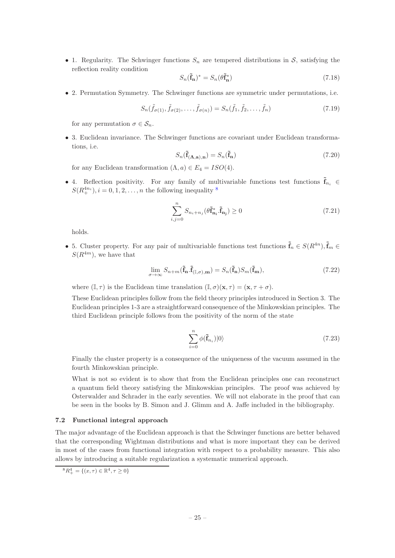• 1. Regularity. The Schwinger functions  $S_n$  are tempered distributions in S, satisfying the reflection reality condition

$$
S_n(\tilde{\mathbf{f}}_n)^* = S_n(\theta \tilde{\mathbf{f}}_n^*)
$$
\n(7.18)

• 2. Permutation Symmetry. The Schwinger functions are symmetric under permutations, i.e.

$$
S_n(\tilde{f}_{\sigma(1)}, \tilde{f}_{\sigma(2)}, \dots, \tilde{f}_{\sigma(n)}) = S_n(\tilde{f}_1, \tilde{f}_2, \dots, \tilde{f}_n)
$$
\n(7.19)

for any permutation  $\sigma \in \mathcal{S}_n$ .

• 3. Euclidean invariance. The Schwinger functions are covariant under Euclidean transformations, i.e.

$$
S_n(\tilde{\mathbf{f}}_{(\mathbf{\Lambda},\mathbf{a}),\mathbf{n}}) = S_n(\tilde{\mathbf{f}}_{\mathbf{n}}) \tag{7.20}
$$

for any Euclidean transformation  $(\Lambda, a) \in E_4 = ISO(4)$ .

• 4. Reflection positivity. For any family of multivariable functions test functions  $\tilde{\mathbf{f}}_{n_i} \in$  $S(R_+^{4n_i}), i = 0, 1, 2, \ldots, n$  the following inequality <sup>[8](#page-25-1)</sup>

$$
\sum_{i,j=0}^{n} S_{n_i+n_j}(\theta \tilde{\mathbf{f}}_{\mathbf{n}_i}^*, \tilde{\mathbf{f}}_{\mathbf{n}_j}) \ge 0
$$
\n(7.21)

holds.

• 5. Cluster property. For any pair of multivariable functions test functions  $\tilde{\mathbf{f}}_n \in S(R^{4n}), \tilde{\mathbf{f}}_m \in$  $S(R^{4m})$ , we have that

$$
\lim_{\sigma \to \infty} S_{n+m}(\tilde{\mathbf{f}}_{\mathbf{n}}.\tilde{\mathbf{f}}_{(\mathbb{I},\sigma),\mathbf{m}}) = S_n(\tilde{\mathbf{f}}_{\mathbf{n}})S_m(\tilde{\mathbf{f}}_{\mathbf{m}}),\tag{7.22}
$$

where  $(\mathbb{I}, \tau)$  is the Euclidean time translation  $(\mathbb{I}, \sigma)(\mathbf{x}, \tau) = (\mathbf{x}, \tau + \sigma)$ .

These Euclidean principles follow from the field theory principles introduced in Section 3. The Euclidean principles 1-3 are a straightforward consequence of the Minkowskian principles. The third Euclidean principle follows from the positivity of the norm of the state

$$
\sum_{i=0}^{n} \phi(\tilde{\mathbf{f}}_{n_i}) |0\rangle \tag{7.23}
$$

Finally the cluster property is a consequence of the uniqueness of the vacuum assumed in the fourth Minkowskian principle.

What is not so evident is to show that from the Euclidean principles one can reconstruct a quantum field theory satisfying the Minkowskian principles. The proof was achieved by Osterwalder and Schrader in the early seventies. We will not elaborate in the proof that can be seen in the books by B. Simon and J. Glimm and A. Jaffe included in the bibliography.

#### <span id="page-25-0"></span>7.2 Functional integral approach

The major advantage of the Euclidean approach is that the Schwinger functions are better behaved that the corresponding Wightman distributions and what is more important they can be derived in most of the cases from functional integration with respect to a probability measure. This also allows by introducing a suitable regularization a systematic numerical approach.

<span id="page-25-1"></span> ${}^8R_+^4 = \{(x,\tau) \in \mathbb{R}^4, \tau \geq 0\}$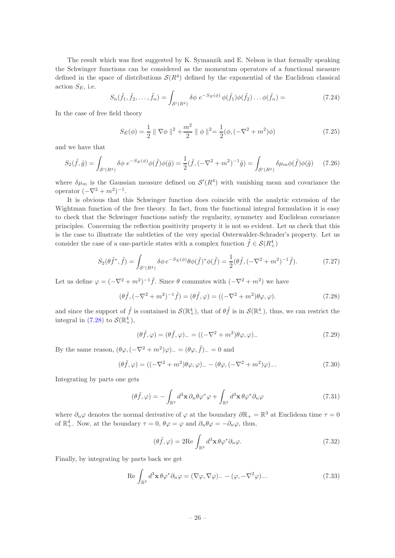The result which was first suggested by K. Symanzik and E. Nelson is that formally speaking the Schwinger functions can be considered as the momentum operators of a functional measure defined in the space of distributions  $\mathcal{S}(R^4)$  defined by the exponential of the Euclidean classical action  $S_E$ , i.e.

$$
S_n(\tilde{f}_1, \tilde{f}_2, \dots, \tilde{f}_n) = \int_{\mathcal{S}'(R^4)} \delta \phi \ e^{-S_E(\phi)} \phi(\tilde{f}_1) \phi(\tilde{f}_2) \dots \phi(\tilde{f}_n) = \tag{7.24}
$$

In the case of free field theory

$$
S_E(\phi) = \frac{1}{2} \parallel \nabla \phi \parallel^2 + \frac{m^2}{2} \parallel \phi \parallel^2 = \frac{1}{2} (\phi, (-\nabla^2 + m^2)\phi)
$$
 (7.25)

and we have that

$$
S_2(\tilde{f}, \tilde{g}) = \int_{\mathcal{S}'(R^4)} \delta \phi \ e^{-S_E(\phi)} \phi(\tilde{f}) \phi(\tilde{g}) = \frac{1}{2} (\tilde{f}, (-\nabla^2 + m^2)^{-1} \tilde{g}) = \int_{\mathcal{S}'(R^4)} \delta \mu_m \phi(\tilde{f}) \phi(\tilde{g}) \tag{7.26}
$$

where  $\delta\mu_m$  is the Gaussian measure defined on  $\mathcal{S}'(R^4)$  with vanishing mean and covariance the operator  $(-\nabla^2 + m^2)^{-1}$ .

It is obvious that this Schwinger function does coincide with the analytic extension of the Wightman function of the free theory. In fact, from the functional integral formulation it is easy to check that the Schwinger functions satisfy the regularity, symmetry and Euclidean covariance principles. Concerning the reflection positivity property it is not so evident. Let us check that this is the case to illustrate the subtleties of the very special Osterwalder-Schrader's property. Let us consider the case of a one-particle states with a complex function  $\tilde{f} \in \mathcal{S}(R_+^4)$ 

$$
S_2(\theta \tilde{f}^*, \tilde{f}) = \int_{S'(R^4)} \delta \phi \, e^{-S_E(\phi)} \theta \phi(\tilde{f})^* \phi(\tilde{f}) = \frac{1}{2} (\theta \tilde{f}, (-\nabla^2 + m^2)^{-1} \tilde{f}). \tag{7.27}
$$

Let us define  $\varphi = (-\nabla^2 + m^2)^{-1} \tilde{f}$ . Since  $\theta$  commutes with  $(-\nabla^2 + m^2)$  we have

<span id="page-26-0"></span>
$$
(\theta \tilde{f}, (-\nabla^2 + m^2)^{-1} \tilde{f}) = (\theta \tilde{f}, \varphi) = ((-\nabla^2 + m^2)\theta \varphi, \varphi).
$$
 (7.28)

and since the support of  $\tilde{f}$  is contained in  $\mathcal{S}(\mathbb{R}^4_+)$ , that of  $\theta\tilde{f}$  is in  $\mathcal{S}(\mathbb{R}^4_-)$ , thus, we can restrict the integral in [\(7.28\)](#page-26-0) to  $\mathcal{S}(\mathbb{R}^4_+),$ 

$$
(\theta \tilde{f}, \varphi) = (\theta \tilde{f}, \varphi)_{-} = ((-\nabla^2 + m^2)\theta \varphi, \varphi)_{-}
$$
\n(7.29)

By the same reason,  $(\theta \varphi, (-\nabla^2 + m^2)\varphi)$ <sub>-</sub> =  $(\theta \varphi, \tilde{f})$ <sub>-</sub> = 0 and

$$
(\theta \tilde{f}, \varphi) = ((-\nabla^2 + m^2)\theta \varphi, \varphi) - (\theta \varphi, (-\nabla^2 + m^2)\varphi) - \tag{7.30}
$$

Integrating by parts one gets

$$
(\theta \tilde{f}, \varphi) = -\int_{\mathbb{R}^3} d^3 \mathbf{x} \, \partial_n \theta \varphi^* \varphi + \int_{\mathbb{R}^3} d^3 \mathbf{x} \, \theta \varphi^* \partial_n \varphi \tag{7.31}
$$

where  $\partial_n \varphi$  denotes the normal derivative of  $\varphi$  at the boundary  $\partial \mathbb{R}_+ = \mathbb{R}^3$  at Euclidean time  $\tau = 0$ of  $\mathbb{R}^4_+$ . Now, at the boundary  $\tau = 0$ ,  $\theta\varphi = \varphi$  and  $\partial_n\theta\varphi = -\partial_n\varphi$ , thus,

$$
(\theta \tilde{f}, \varphi) = 2 \text{Re} \int_{\mathbb{R}^3} d^3 \mathbf{x} \, \theta \varphi^* \partial_n \varphi. \tag{7.32}
$$

Finally, by integrating by parts back we get

$$
\text{Re}\int_{\mathbb{R}^3} d^3 \mathbf{x} \, \theta \varphi^* \partial_n \varphi = (\nabla \varphi, \nabla \varphi)_{-} - (\varphi, -\nabla^2 \varphi)_{-}.\tag{7.33}
$$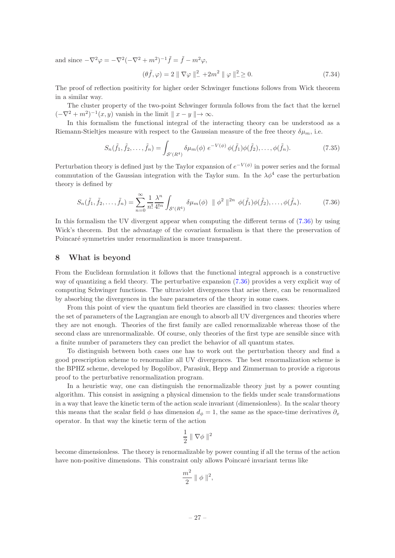and since  $-\nabla^2 \varphi = -\nabla^2(-\nabla^2 + m^2)^{-1}\tilde{f} = \tilde{f} - m^2\varphi$ ,

$$
(\theta \tilde{f}, \varphi) = 2 \| \nabla \varphi \|_{-}^{2} + 2m^{2} \| \varphi \|_{-}^{2} \ge 0.
$$
 (7.34)

The proof of reflection positivity for higher order Schwinger functions follows from Wick theorem in a similar way.

The cluster property of the two-point Schwinger formula follows from the fact that the kernel  $(-\nabla^2 + m^2)^{-1}(x, y)$  vanish in the limit  $||x - y|| \to \infty$ .

In this formalism the functional integral of the interacting theory can be understood as a Riemann-Stieltjes measure with respect to the Gaussian measure of the free theory  $\delta\mu_m$ , i.e.

$$
S_n(\tilde{f}_1, \tilde{f}_2, \dots, \tilde{f}_n) = \int_{S'(R^4)} \delta \mu_m(\phi) \ e^{-V(\phi)} \phi(\tilde{f}_1) \phi(\tilde{f}_2), \dots, \phi(\tilde{f}_n). \tag{7.35}
$$

Perturbation theory is defined just by the Taylor expansion of  $e^{-V(\phi)}$  in power series and the formal commutation of the Gaussian integration with the Taylor sum. In the  $\lambda \phi^4$  case the perturbation theory is defined by

<span id="page-27-1"></span>
$$
S_n(\tilde{f}_1, \tilde{f}_2, \dots, \tilde{f}_n) = \sum_{n=0}^{\infty} \frac{1}{n!} \frac{\lambda^n}{4!^n} \int_{\mathcal{S}'(R^4)} \delta \mu_m(\phi) \, \| \phi^2 \, \|^{2n} \, \phi(\tilde{f}_1) \phi(\tilde{f}_2), \dots, \phi(\tilde{f}_n). \tag{7.36}
$$

In this formalism the UV divergent appear when computing the different terms of [\(7.36\)](#page-27-1) by using Wick's theorem. But the advantage of the covariant formalism is that there the preservation of Poincaré symmetries under renormalization is more transparent.

## <span id="page-27-0"></span>8 What is beyond

From the Euclidean formulation it follows that the functional integral approach is a constructive way of quantizing a field theory. The perturbative expansion [\(7.36\)](#page-27-1) provides a very explicit way of computing Schwinger functions. The ultraviolet divergences that arise there, can be renormalized by absorbing the divergences in the bare parameters of the theory in some cases.

From this point of view the quantum field theories are classified in two classes: theories where the set of parameters of the Lagrangian are enough to absorb all UV divergences and theories where they are not enough. Theories of the first family are called renormalizable whereas those of the second class are unrenormalizable. Of course, only theories of the first type are sensible since with a finite number of parameters they can predict the behavior of all quantum states.

To distinguish between both cases one has to work out the perturbation theory and find a good prescription scheme to renormalize all UV divergences. The best renormalization scheme is the BPHZ scheme, developed by Bogolibov, Parasiuk, Hepp and Zimmerman to provide a rigorous proof to the perturbative renormalization program.

In a heuristic way, one can distinguish the renormalizable theory just by a power counting algorithm. This consist in assigning a physical dimension to the fields under scale transformations in a way that leave the kinetic term of the action scale invariant (dimensionless). In the scalar theory this means that the scalar field  $\phi$  has dimension  $d_{\phi} = 1$ , the same as the space-time derivatives  $\partial_x$ operator. In that way the kinetic term of the action

$$
\frac{1}{2}\parallel\nabla\phi\parallel^2
$$

become dimensionless. The theory is renormalizable by power counting if all the terms of the action have non-positive dimensions. This constraint only allows Poincaré invariant terms like

$$
\frac{m^2}{2} \parallel \phi \parallel^2,
$$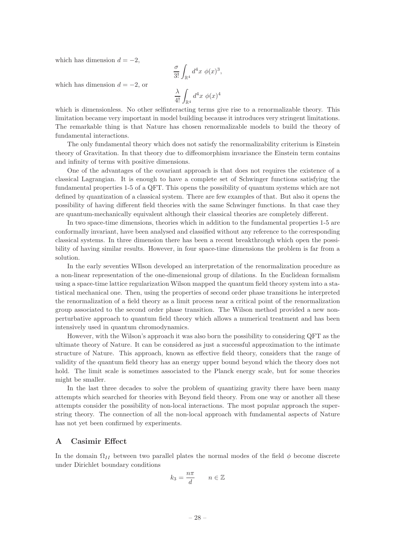which has dimension  $d = -2$ ,

$$
\frac{\sigma}{3!} \int_{\mathbb{R}^4} d^4x \phi(x)^3,
$$
  

$$
\frac{\lambda}{4!} \int_{\mathbb{R}^4} d^4x \phi(x)^4
$$

which has dimension  $d = -2$ , or

which is dimensionless. No other selfinteracting terms give rise to a renormalizable theory. This limitation became very important in model building because it introduces very stringent limitations. The remarkable thing is that Nature has chosen renormalizable models to build the theory of fundamental interactions.

The only fundamental theory which does not satisfy the renormalizability criterium is Einstein theory of Gravitation. In that theory due to diffeomorphism invariance the Einstein term contains and infinity of terms with positive dimensions.

One of the advantages of the covariant approach is that does not requires the existence of a classical Lagrangian. It is enough to have a complete set of Schwinger functions satisfying the fundamental properties 1-5 of a QFT. This opens the possibility of quantum systems which are not defined by quantization of a classical system. There are few examples of that. But also it opens the possibility of having different field theories with the same Schwinger functions. In that case they are quantum-mechanically equivalent although their classical theories are completely different.

In two space-time dimensions, theories which in addition to the fundamental properties 1-5 are conformally invariant, have been analysed and classified without any reference to the corresponding classical systems. In three dimension there has been a recent breakthrough which open the possibility of having similar results. However, in four space-time dimensions the problem is far from a solution.

In the early seventies WIlson developed an interpretation of the renormalization procedure as a non-linear representation of the one-dimensional group of dilations. In the Euclidean formalism using a space-time lattice regularization Wilson mapped the quantum field theory system into a statistical mechanical one. Then, using the properties of second order phase transitions he interpreted the renormalization of a field theory as a limit process near a critical point of the renormalization group associated to the second order phase transition. The Wilson method provided a new nonperturbative approach to quantum field theory which allows a numerical treatment and has been intensively used in quantum chromodynamics.

However, with the Wilson's approach it was also born the possibility to considering QFT as the ultimate theory of Nature. It can be considered as just a successful approximation to the intimate structure of Nature. This approach, known as effective field theory, considers that the range of validity of the quantum field theory has an energy upper bound beyond which the theory does not hold. The limit scale is sometimes associated to the Planck energy scale, but for some theories might be smaller.

In the last three decades to solve the problem of quantizing gravity there have been many attempts which searched for theories with Beyond field theory. From one way or another all these attempts consider the possibility of non-local interactions. The most popular approach the superstring theory. The connection of all the non-local approach with fundamental aspects of Nature has not yet been confirmed by experiments.

## <span id="page-28-0"></span>A Casimir Effect

In the domain  $\Omega_{II}$  between two parallel plates the normal modes of the field  $\phi$  become discrete under Dirichlet boundary conditions

$$
k_3 = \frac{n\pi}{d} \qquad n \in \mathbb{Z}
$$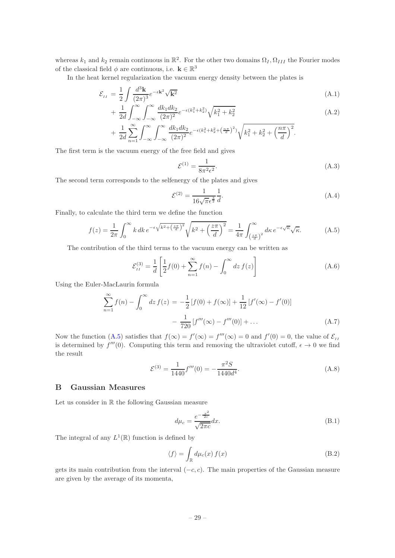whereas  $k_1$  and  $k_2$  remain continuous in  $\mathbb{R}^2$ . For the other two domains  $\Omega_I, \Omega_{III}$  the Fourier modes of the classical field  $\phi$  are continuous, i.e.  $\mathbf{k} \in \mathbb{R}^3$ 

In the heat kernel regularization the vacuum energy density between the plates is

$$
\mathcal{E}_{II} = \frac{1}{2} \int \frac{d^3 \mathbf{k}}{(2\pi)^3} e^{-\epsilon \mathbf{k}^2} \sqrt{\mathbf{k}^2}
$$
\n(A.1)

$$
+\frac{1}{2d} \int_{-\infty}^{\infty} \int_{-\infty}^{\infty} \frac{dk_1 dk_2}{(2\pi)^2} e^{-\epsilon(k_1^2 + k_2^2)} \sqrt{k_1^2 + k_2^2}
$$
\n(A.2)

$$
+ \frac{1}{2d} \sum_{n=1}^{\infty} \int_{-\infty}^{\infty} \int_{-\infty}^{\infty} \frac{dk_1 dk_2}{(2\pi)^2} e^{-\epsilon (k_1^2 + k_2^2 + (\frac{n\pi}{d})^2)} \sqrt{k_1^2 + k_2^2 + (\frac{n\pi}{d})^2}.
$$

The first term is the vacuum energy of the free field and gives

$$
\mathcal{E}^{(1)} = \frac{1}{8\pi^2 \epsilon^2}.
$$
\n(A.3)

The second term corresponds to the selfenergy of the plates and gives

$$
\mathcal{E}^{(2)} = \frac{1}{16\sqrt{\pi}\epsilon^{\frac{3}{2}}} \frac{1}{d}.
$$
\n(A.4)

Finally, to calculate the third term we define the function

<span id="page-29-1"></span>
$$
f(z) = \frac{1}{2\pi} \int_0^\infty k \, dk \, e^{-\epsilon \sqrt{k^2 + \left(\frac{z\pi}{d}\right)^2}} \sqrt{k^2 + \left(\frac{z\pi}{d}\right)^2} = \frac{1}{4\pi} \int_{\left(\frac{z\pi}{d}\right)^2}^\infty d\kappa \, e^{-\epsilon \sqrt{\kappa}} \sqrt{\kappa}.\tag{A.5}
$$

The contribution of the third terms to the vacuum energy can be written as

$$
\mathcal{E}_{II}^{(3)} = \frac{1}{d} \left[ \frac{1}{2} f(0) + \sum_{n=1}^{\infty} f(n) - \int_0^{\infty} dz f(z) \right]
$$
 (A.6)

Using the Euler-MacLaurin formula

$$
\sum_{n=1}^{\infty} f(n) - \int_0^{\infty} dz f(z) = -\frac{1}{2} [f(0) + f(\infty)] + \frac{1}{12} [f'(\infty) - f'(0)]
$$

$$
- \frac{1}{720} [f'''(\infty) - f'''(0)] + \dots
$$
(A.7)

Now the function [\(A.5\)](#page-29-1) satisfies that  $f(\infty) = f'(\infty) = f'''(\infty) = 0$  and  $f'(0) = 0$ , the value of  $\mathcal{E}_{II}$ is determined by  $f'''(0)$ . Computing this term and removing the ultraviolet cutoff,  $\epsilon \to 0$  we find the result

$$
\mathcal{E}^{(3)} = \frac{1}{1440} f'''(0) = -\frac{\pi^2 S}{1440d^4}.
$$
\n(A.8)

# <span id="page-29-0"></span>B Gaussian Measures

Let us consider in  $\mathbb R$  the following Gaussian measure

$$
d\mu_c = \frac{e^{-\frac{x^2}{2c}}}{\sqrt{2\pi c}}dx.
$$
\n(B.1)

The integral of any  $L^1(\mathbb{R})$  function is defined by

$$
\langle f \rangle = \int_{\mathbb{R}} d\mu_c(x) f(x) \tag{B.2}
$$

gets its main contribution from the interval  $(-c, c)$ . The main properties of the Gaussian measure are given by the average of its momenta,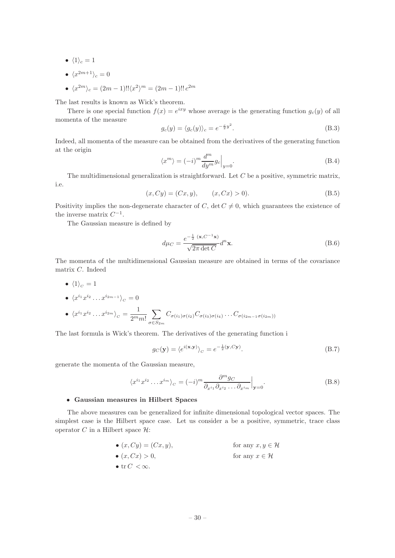- $\langle 1 \rangle_c = 1$
- $\langle x^{2m+1} \rangle_c = 0$
- $\langle x^{2m} \rangle_c = (2m 1)!! \langle x^2 \rangle^m = (2m 1)!! c^{2m}$

The last results is known as Wick's theorem.

There is one special function  $f(x) = e^{ixy}$  whose average is the generating function  $g_c(y)$  of all momenta of the measure

$$
g_c(y) = \langle g_c(y) \rangle_c = e^{-\frac{c}{2}y^2}.
$$
 (B.3)

Indeed, all momenta of the measure can be obtained from the derivatives of the generating function at the origin

$$
\langle x^m \rangle = (-i)^m \frac{d^m}{dy^m} g_c \Big|_{y=0}.
$$
\n(B.4)

The multidimensional generalization is straightforward. Let  $C$  be a positive, symmetric matrix, i.e.

$$
(x, Cy) = (Cx, y), \qquad (x, Cx) > 0). \tag{B.5}
$$

Positivity implies the non-degenerate character of C, det  $C \neq 0$ , which guarantees the existence of the inverse matrix  $C^{-1}$ .

The Gaussian measure is defined by

$$
d\mu_C = \frac{e^{-\frac{1}{2}(\mathbf{x}, C^{-1}\mathbf{x})}}{\sqrt{2\pi \det C}} d^n \mathbf{x}.
$$
 (B.6)

The momenta of the multidimensional Gaussian measure are obtained in terms of the covariance matrix C. Indeed

•  $\langle 1 \rangle_c = 1$ 

$$
\bullet \ \langle x^{i_1} x^{i_2} \dots x^{i_{2m-1}} \rangle_C = 0
$$

$$
\bullet \ \langle x^{i_1} x^{i_2} \dots x^{i_{2m}} \rangle_C = \frac{1}{2^m m!} \sum_{\sigma \in S_{2m}} C_{\sigma(i_1)\sigma(i_2)} C_{\sigma(i_3)\sigma(i_4)} \dots C_{\sigma(i_{2m-1}\sigma(i_{2m}))}
$$

The last formula is Wick's theorem. The derivatives of the generating function i

$$
g_C(\mathbf{y}) = \langle e^{i(\mathbf{x}, \mathbf{y})} \rangle_C = e^{-\frac{1}{2}(\mathbf{y}, C\mathbf{y})}.
$$
 (B.7)

generate the momenta of the Gaussian measure,

$$
\langle x^{i_1} x^{i_2} \dots x^{i_m} \rangle_C = (-i)^m \frac{\partial^m g_C}{\partial_{x^{i_1}} \partial_{x^{i_2}} \dots \partial_{x^{i_m}}}\Big|_{\mathbf{y}=0}.
$$
 (B.8)

## • Gaussian measures in Hilbert Spaces

The above measures can be generalized for infinite dimensional topological vector spaces. The simplest case is the Hilbert space case. Let us consider a be a positive, symmetric, trace class operator C in a Hilbert space  $\mathcal{H}$ :

\n- \n
$$
(x, Cy) = (Cx, y),
$$
\n for any  $x, y \in \mathcal{H}$ \n
\n- \n
$$
(x, Cx) > 0,
$$
\n for any  $x \in \mathcal{H}$ \n
\n- \n
$$
(x, Cx) > 0,
$$
\n for any  $x \in \mathcal{H}$ \n
\n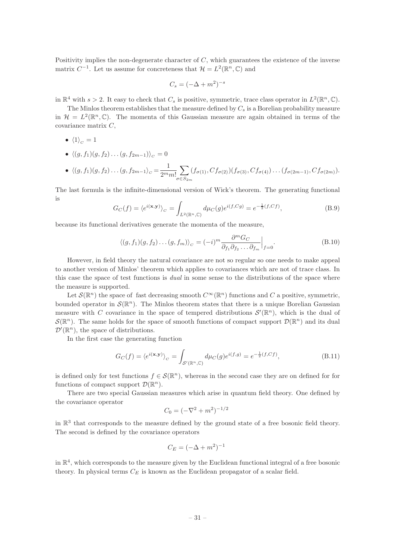Positivity implies the non-degenerate character of  $C$ , which guarantees the existence of the inverse matrix  $C^{-1}$ . Let us assume for concreteness that  $\mathcal{H} = L^2(\mathbb{R}^n, \mathbb{C})$  and

$$
C_s = (-\Delta + m^2)^{-s}
$$

in  $\mathbb{R}^4$  with  $s > 2$ . It easy to check that  $C_s$  is positive, symmetric, trace class operator in  $L^2(\mathbb{R}^n, \mathbb{C})$ .

The Minlos theorem establishes that the measure defined by  $C_s$  is a Borelian probability measure in  $\mathcal{H} = L^2(\mathbb{R}^n, \mathbb{C})$ . The momenta of this Gaussian measure are again obtained in terms of the covariance matrix C,

- $\langle 1 \rangle_c = 1$
- $\langle (g, f_1)(g, f_2) \dots (g, f_{2m-1}) \rangle_c = 0$

• 
$$
\langle (g, f_1)(g, f_2) \dots (g, f_{2m-1} \rangle_C = \frac{1}{2^m m!} \sum_{\sigma \in S_{2m}} (f_{\sigma(1)}, Cf_{\sigma(2)})(f_{\sigma(3)}, Cf_{\sigma(4)}) \dots (f_{\sigma(2m-1)}, Cf_{\sigma(2m)}).
$$

The last formula is the infinite-dimensional version of Wick's theorem. The generating functional is

$$
G_C(f) = \langle e^{i(\mathbf{x}, \mathbf{y})} \rangle_C = \int_{L^2(\mathbb{R}^n, \mathbb{C})} d\mu_C(g) e^{i(f, Cg)} = e^{-\frac{1}{2}(f, Cf)},
$$
\n(B.9)

because its functional derivatives generate the momenta of the measure,

$$
\langle (g, f_1)(g, f_2) \dots (g, f_m) \rangle_C = (-i)^m \frac{\partial^m G_C}{\partial_{f_1} \partial_{f_2} \dots \partial_{f_m}} \Big|_{f=0}.
$$
 (B.10)

However, in field theory the natural covariance are not so regular so one needs to make appeal to another version of Minlos' theorem which applies to covariances which are not of trace class. In this case the space of test functions is *dual* in some sense to the distributions of the space where the measure is supported.

Let  $\mathcal{S}(\mathbb{R}^n)$  the space of fast decreasing smooth  $C^{\infty}(\mathbb{R}^n)$  functions and C a positive, symmetric, bounded operator in  $\mathcal{S}(\mathbb{R}^n)$ . The Minlos theorem states that there is a unique Borelian Gaussian measure with C covariance in the space of tempered distributions  $\mathcal{S}'(\mathbb{R}^n)$ , which is the dual of  $\mathcal{S}(\mathbb{R}^n)$ . The same holds for the space of smooth functions of compact support  $\mathcal{D}(\mathbb{R}^n)$  and its dual  $\mathcal{D}'(\mathbb{R}^n)$ , the space of distributions.

In the first case the generating function

$$
G_C(f) = \langle e^{i(\mathbf{x}, \mathbf{y})} \rangle_C = \int_{\mathcal{S}'(\mathbb{R}^n, \mathbb{C})} d\mu_C(g) e^{i(f,g)} = e^{-\frac{1}{2}(f, Cf)}, \tag{B.11}
$$

is defined only for test functions  $f \in \mathcal{S}(\mathbb{R}^n)$ , whereas in the second case they are on defined for for functions of compact support  $\mathcal{D}(\mathbb{R}^n)$ .

There are two special Gaussian measures which arise in quantum field theory. One defined by the covariance operator

$$
C_0 = (-\nabla^2 + m^2)^{-1/2}
$$

in  $\mathbb{R}^3$  that corresponds to the measure defined by the ground state of a free bosonic field theory. The second is defined by the covariance operators

$$
C_E = (-\Delta + m^2)^{-1}
$$

in  $\mathbb{R}^4$ , which corresponds to the measure given by the Euclidean functional integral of a free bosonic theory. In physical terms  $C_E$  is known as the Euclidean propagator of a scalar field.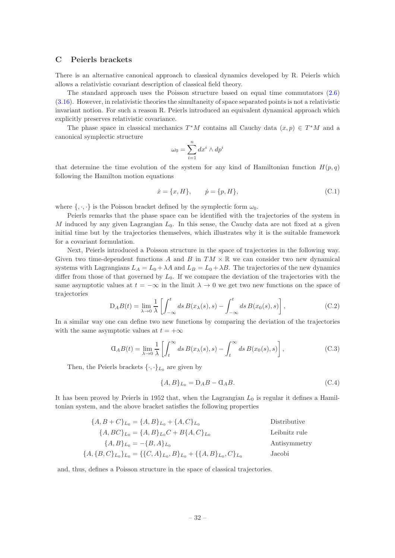## <span id="page-32-0"></span>C Peierls brackets

There is an alternative canonical approach to classical dynamics developed by R. Peierls which allows a relativistic covariant description of classical field theory.

The standard approach uses the Poisson structure based on equal time commutators [\(2.6\)](#page-4-2) [\(3.16\)](#page-11-0). However, in relativistic theories the simultaneity of space separated points is not a relativistic invariant notion. For such a reason R. Peierls introduced an equivalent dynamical approach which explicitly preserves relativistic covariance.

The phase space in classical mechanics  $T^*M$  contains all Cauchy data  $(x, p) \in T^*M$  and a canonical symplectic structure

$$
\omega_0 = \sum_{i=1}^n dx^i \wedge dp^i
$$

that determine the time evolution of the system for any kind of Hamiltonian function  $H(p,q)$ following the Hamilton motion equations

$$
\dot{x} = \{x, H\}, \qquad \dot{p} = \{p, H\}, \tag{C.1}
$$

where  $\{\cdot,\cdot,\cdot\}$  is the Poisson bracket defined by the symplectic form  $\omega_0$ .

Peierls remarks that the phase space can be identified with the trajectories of the system in M induced by any given Lagrangian  $L_0$ . In this sense, the Cauchy data are not fixed at a given initial time but by the trajectories themselves, which illustrates why it is the suitable framework for a covariant formulation.

Next, Peierls introduced a Poisson structure in the space of trajectories in the following way. Given two time-dependent functions A and B in  $TM \times \mathbb{R}$  we can consider two new dynamical systems with Lagrangians  $L_A = L_0 + \lambda A$  and  $L_B = L_0 + \lambda B$ . The trajectories of the new dynamics differ from those of that governed by  $L_0$ . If we compare the deviation of the trajectories with the same asymptotic values at  $t = -\infty$  in the limit  $\lambda \to 0$  we get two new functions on the space of trajectories

$$
D_A B(t) = \lim_{\lambda \to 0} \frac{1}{\lambda} \left[ \int_{-\infty}^t ds B(x_\lambda(s), s) - \int_{-\infty}^t ds B(x_0(s), s) \right],
$$
 (C.2)

In a similar way one can define two new functions by comparing the deviation of the trajectories with the same asymptotic values at  $t = +\infty$ 

$$
G_A B(t) = \lim_{\lambda \to 0} \frac{1}{\lambda} \left[ \int_t^{\infty} ds \, B(x_{\lambda}(s), s) - \int_t^{\infty} ds \, B(x_0(s), s) \right],
$$
 (C.3)

Then, the Peierls brackets  $\{\cdot,\cdot\}_L$  are given by

$$
\{A, B\}_{L_0} = D_A B - \mathcal{A} B. \tag{C.4}
$$

It has been proved by Peierls in 1952 that, when the Lagrangian  $L_0$  is regular it defines a Hamiltonian system, and the above bracket satisfies the following properties

| ${A, B + C}_{L_0} = {A, B}_{L_0} + {A, C}_{L_0}$                          | Distributive  |
|---------------------------------------------------------------------------|---------------|
| ${A, BC}_{L_0} = {A, B}_{L_0}C + B{A, C}_{L_0}$                           | Leibnitz rule |
| ${A, B}_{L_0} = -{B, A}_{L_0}$                                            | Antisymmetry  |
| ${A, {B, C}_{L_0}}_{L_0} = {C, A}_{L_0}, B_{L_0} + {A, B}_{L_0}, C_{L_0}$ | Jacobi        |

and, thus, defines a Poisson structure in the space of classical trajectories.